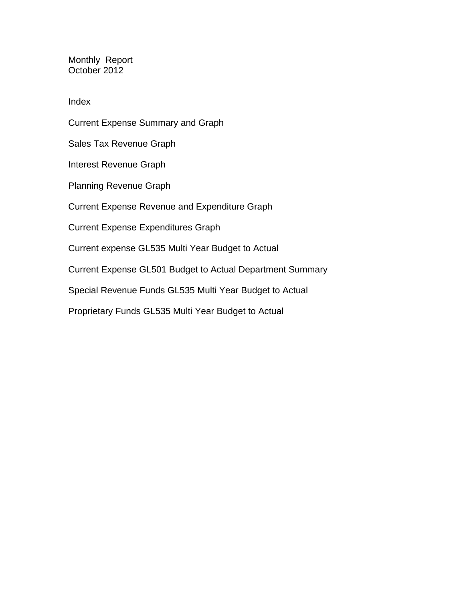Monthly Report October 2012

Index

Current Expense Summary and Graph Sales Tax Revenue Graph Interest Revenue Graph Planning Revenue Graph Current Expense Revenue and Expenditure Graph Current Expense Expenditures Graph Current expense GL535 Multi Year Budget to Actual Current Expense GL501 Budget to Actual Department Summary Special Revenue Funds GL535 Multi Year Budget to Actual Proprietary Funds GL535 Multi Year Budget to Actual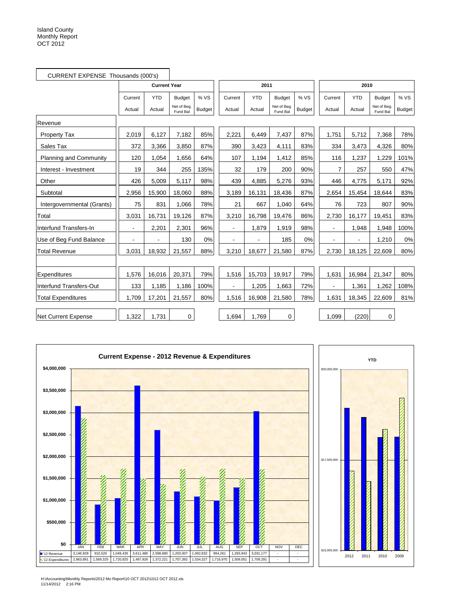| CURRENT EXPENSE Thousands (000's) |                |                     |                         |               |                |            |                        |               |                          |            |                         |        |
|-----------------------------------|----------------|---------------------|-------------------------|---------------|----------------|------------|------------------------|---------------|--------------------------|------------|-------------------------|--------|
|                                   |                | <b>Current Year</b> |                         |               |                | 2011       |                        |               |                          | 2010       |                         |        |
|                                   | Current        | <b>YTD</b>          | <b>Budget</b>           | %VS           | Current        | <b>YTD</b> | <b>Budget</b>          | % VS          | Current                  | <b>YTD</b> | <b>Budget</b>           | % VS   |
|                                   | Actual         | Actual              | Net of Beg.<br>Fund Bal | <b>Budget</b> | Actual         | Actual     | Net of Beg<br>Fund Bal | <b>Budget</b> | Actual                   | Actual     | Net of Beg.<br>Fund Bal | Budget |
| Revenue                           |                |                     |                         |               |                |            |                        |               |                          |            |                         |        |
| <b>Property Tax</b>               | 2,019          | 6,127               | 7,182                   | 85%           | 2,221          | 6,449      | 7,437                  | 87%           | 1,751                    | 5,712      | 7,368                   | 78%    |
| Sales Tax                         | 372            | 3,366               | 3,850                   | 87%           | 390            | 3,423      | 4,111                  | 83%           | 334                      | 3,473      | 4,326                   | 80%    |
| <b>Planning and Community</b>     | 120            | 1,054               | 1,656                   | 64%           | 107            | 1,194      | 1,412                  | 85%           | 116                      | 1,237      | 1,229                   | 101%   |
| Interest - Investment             | 19             | 344                 | 255                     | 135%          | 32             | 179        | 200                    | 90%           | 7                        | 257        | 550                     | 47%    |
| Other                             | 426            | 5,009               | 5,117                   | 98%           | 439            | 4,885      | 5,276                  | 93%           | 446                      | 4,775      | 5,171                   | 92%    |
| Subtotal                          | 2,956          | 15,900              | 18,060                  | 88%           | 3,189          | 16,131     | 18,436                 | 87%           | 2,654                    | 15,454     | 18,644                  | 83%    |
| Intergovernmental (Grants)        | 75             | 831                 | 1,066                   | 78%           | 21             | 667        | 1,040                  | 64%           | 76                       | 723        | 807                     | 90%    |
| Total                             | 3,031          | 16,731              | 19,126                  | 87%           | 3,210          | 16,798     | 19,476                 | 86%           | 2,730                    | 16,177     | 19,451                  | 83%    |
| Interfund Transfers-In            | $\blacksquare$ | 2,201               | 2,301                   | 96%           | $\blacksquare$ | 1,879      | 1,919                  | 98%           | $\blacksquare$           | 1,948      | 1,948                   | 100%   |
| Use of Beg Fund Balance           |                |                     | 130                     | 0%            |                |            | 185                    | 0%            | $\overline{\phantom{0}}$ |            | 1,210                   | 0%     |
| <b>Total Revenue</b>              | 3,031          | 18,932              | 21,557                  | 88%           | 3,210          | 18,677     | 21,580                 | 87%           | 2,730                    | 18,125     | 22,609                  | 80%    |
|                                   |                |                     |                         |               |                |            |                        |               |                          |            |                         |        |
| Expenditures                      | 1,576          | 16,016              | 20,371                  | 79%           | 1,516          | 15,703     | 19,917                 | 79%           | 1,631                    | 16,984     | 21,347                  | 80%    |
| Interfund Transfers-Out           | 133            | 1,185               | 1,186                   | 100%          |                | 1,205      | 1,663                  | 72%           | $\blacksquare$           | 1,361      | 1,262                   | 108%   |
| <b>Total Expenditures</b>         | 1.709          | 17,201              | 21,557                  | 80%           | 1,516          | 16,908     | 21.580                 | 78%           | 1.631                    | 18,345     | 22.609                  | 81%    |
| <b>Net Current Expense</b>        | 1,322          | 1,731               | 0                       |               | 1,694          | 1,769      | $\mathbf 0$            |               | 1,099                    | (220)      | 0                       |        |



H:\Accounting\Monthly Reports\2012 Mo Report\10 OCT 2012\1012 OCT 2012.xls 11/14/2012 2:16 PM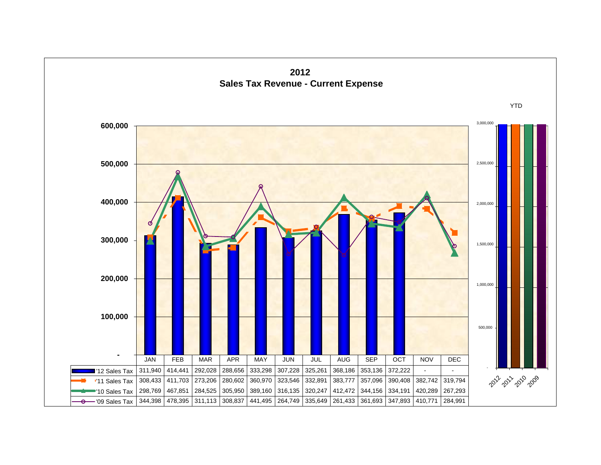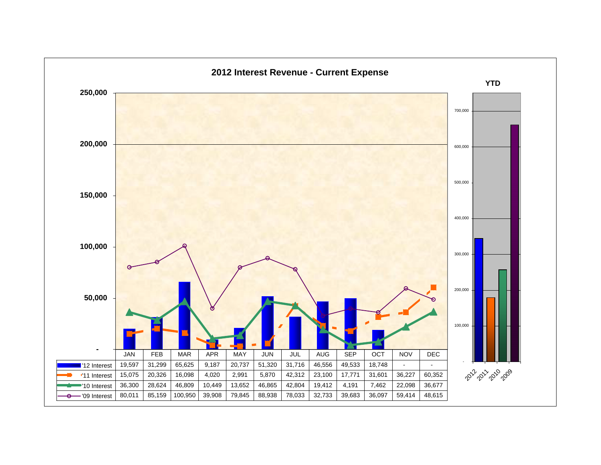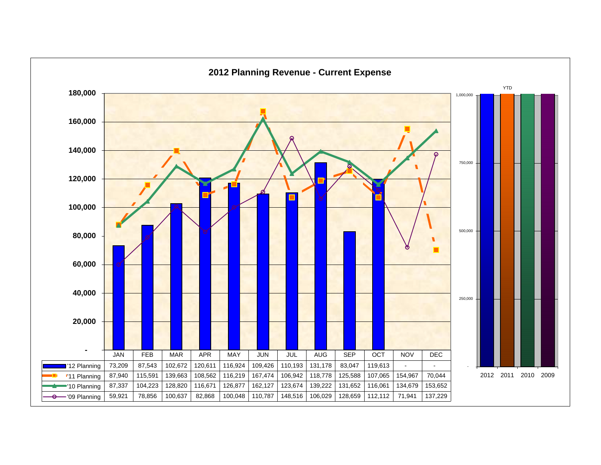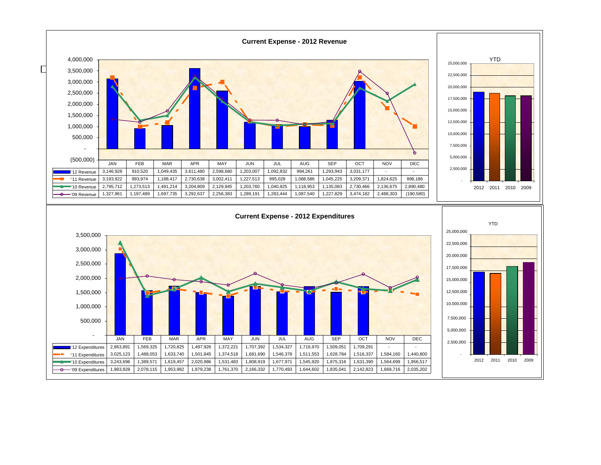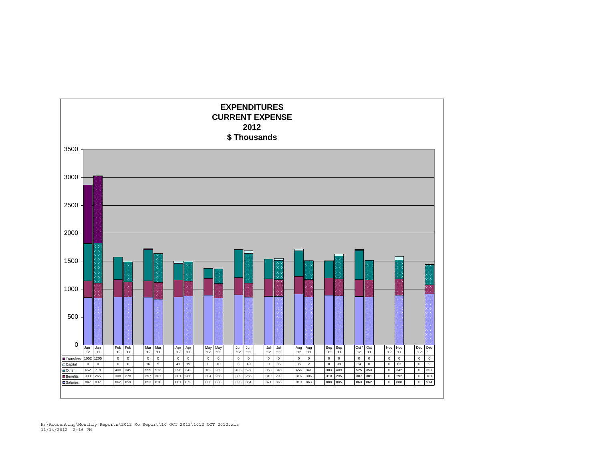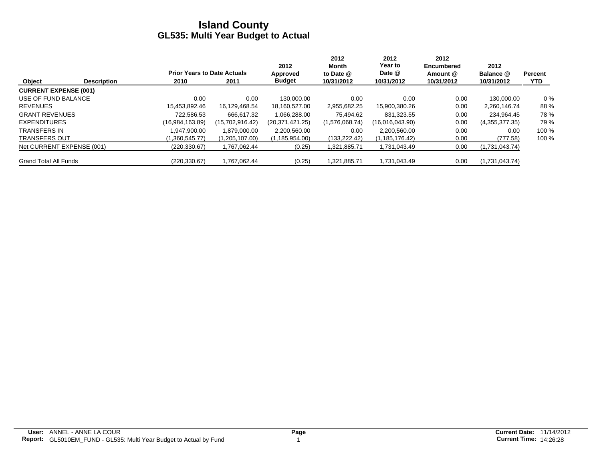|                              |                    |                                    |                 | 2012              | 2012<br>Month  | 2012<br>Year to | 2012<br><b>Encumbered</b> | 2012           |            |
|------------------------------|--------------------|------------------------------------|-----------------|-------------------|----------------|-----------------|---------------------------|----------------|------------|
|                              |                    | <b>Prior Years to Date Actuals</b> |                 | Approved          | to Date @      | Date @          | Amount @                  | Balance @      | Percent    |
| Object                       | <b>Description</b> | 2010                               | 2011            | <b>Budget</b>     | 10/31/2012     | 10/31/2012      | 10/31/2012                | 10/31/2012     | <b>YTD</b> |
| <b>CURRENT EXPENSE (001)</b> |                    |                                    |                 |                   |                |                 |                           |                |            |
| USE OF FUND BALANCE          |                    | 0.00                               | 0.00            | 130.000.00        | 0.00           | 0.00            | 0.00                      | 130,000.00     | $0\%$      |
| <b>REVENUES</b>              |                    | 15.453.892.46                      | 16,129,468.54   | 18,160,527.00     | 2,955,682.25   | 15,900,380.26   | 0.00                      | 2,260,146.74   | 88%        |
| <b>GRANT REVENUES</b>        |                    | 722.586.53                         | 666.617.32      | 1.066.288.00      | 75.494.62      | 831.323.55      | 0.00                      | 234.964.45     | 78%        |
| <b>EXPENDITURES</b>          |                    | (16.984, 163.89)                   | (15,702,916.42) | (20, 371, 421.25) | (1,576,068.74) | (16.016.043.90) | 0.00                      | (4,355,377.35) | 79 %       |
| <b>TRANSFERS IN</b>          |                    | .947.900.00                        | 1.879.000.00    | 2,200,560.00      | 0.00           | 2.200.560.00    | 0.00                      | 0.00           | 100 %      |
| <b>TRANSFERS OUT</b>         |                    | (1,360,545.77)                     | (1,205,107.00)  | (1, 185, 954.00)  | (133, 222.42)  | (1,185,176.42)  | 0.00                      | (777.58)       | 100 %      |
| Net CURRENT EXPENSE (001)    |                    | (220, 330.67)                      | 1.767.062.44    | (0.25)            | 1,321,885.71   | 1.731.043.49    | 0.00                      | (1,731,043.74) |            |
| <b>Grand Total All Funds</b> |                    | (220, 330.67)                      | 1.767.062.44    | (0.25)            | 1,321,885.71   | 1,731,043.49    | 0.00                      | (1,731,043.74) |            |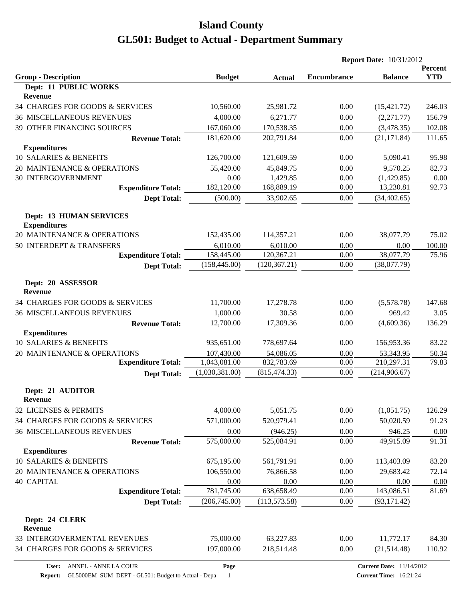|                                                       |                            |                             | <b>Report Date: 10/31/2012</b> |                                 |                       |
|-------------------------------------------------------|----------------------------|-----------------------------|--------------------------------|---------------------------------|-----------------------|
| <b>Group - Description</b>                            | <b>Budget</b>              | <b>Actual</b>               | <b>Encumbrance</b>             | <b>Balance</b>                  | Percent<br><b>YTD</b> |
| Dept: 11 PUBLIC WORKS<br>Revenue                      |                            |                             |                                |                                 |                       |
| 34 CHARGES FOR GOODS & SERVICES                       | 10,560.00                  | 25,981.72                   | 0.00                           | (15, 421.72)                    | 246.03                |
| <b>36 MISCELLANEOUS REVENUES</b>                      | 4,000.00                   | 6,271.77                    | 0.00                           | (2,271.77)                      | 156.79                |
| 39 OTHER FINANCING SOURCES                            | 167,060.00                 | 170,538.35                  | 0.00                           | (3,478.35)                      | 102.08                |
| <b>Revenue Total:</b>                                 | 181,620.00                 | 202,791.84                  | 0.00                           | (21, 171.84)                    | 111.65                |
| <b>Expenditures</b>                                   |                            |                             |                                |                                 |                       |
| 10 SALARIES & BENEFITS                                | 126,700.00                 | 121,609.59                  | 0.00                           | 5,090.41                        | 95.98                 |
| 20 MAINTENANCE & OPERATIONS                           | 55,420.00                  | 45,849.75                   | 0.00                           | 9,570.25                        | 82.73                 |
| <b>30 INTERGOVERNMENT</b>                             | 0.00                       | 1,429.85                    | 0.00                           | (1,429.85)                      | 0.00                  |
| <b>Expenditure Total:</b>                             | 182,120.00                 | 168,889.19                  | 0.00                           | 13,230.81                       | 92.73                 |
| <b>Dept Total:</b>                                    | (500.00)                   | 33,902.65                   | 0.00                           | (34, 402.65)                    |                       |
| <b>Dept: 13 HUMAN SERVICES</b><br><b>Expenditures</b> |                            |                             |                                |                                 |                       |
| 20 MAINTENANCE & OPERATIONS                           | 152,435.00                 | 114,357.21                  | 0.00                           | 38,077.79                       | 75.02                 |
| 50 INTERDEPT & TRANSFERS                              | 6,010.00                   | 6,010.00                    | 0.00                           | 0.00                            | 100.00                |
| <b>Expenditure Total:</b>                             | 158,445.00                 | 120,367.21                  | 0.00                           | 38,077.79                       | 75.96                 |
| <b>Dept Total:</b>                                    | (158, 445.00)              | (120, 367.21)               | 0.00                           | (38,077.79)                     |                       |
| Dept: 20 ASSESSOR<br><b>Revenue</b>                   |                            |                             |                                |                                 |                       |
| 34 CHARGES FOR GOODS & SERVICES                       | 11,700.00                  | 17,278.78                   | 0.00                           | (5,578.78)                      | 147.68                |
| <b>36 MISCELLANEOUS REVENUES</b>                      | 1,000.00                   | 30.58                       | 0.00                           | 969.42                          | 3.05                  |
| <b>Revenue Total:</b>                                 | 12,700.00                  | 17,309.36                   | 0.00                           | (4,609.36)                      | 136.29                |
| <b>Expenditures</b><br>10 SALARIES & BENEFITS         | 935,651.00                 | 778,697.64                  | 0.00                           | 156,953.36                      | 83.22                 |
| 20 MAINTENANCE & OPERATIONS                           | 107,430.00                 | 54,086.05                   | 0.00                           | 53,343.95                       | 50.34                 |
| <b>Expenditure Total:</b>                             | 1,043,081.00               | 832,783.69                  | 0.00                           | 210,297.31                      | 79.83                 |
| <b>Dept Total:</b>                                    | (1,030,381.00)             | (815, 474.33)               | 0.00                           | (214, 906.67)                   |                       |
| Dept: 21 AUDITOR                                      |                            |                             |                                |                                 |                       |
| <b>Revenue</b>                                        |                            |                             |                                |                                 |                       |
| 32 LICENSES & PERMITS                                 | 4,000.00                   | 5,051.75                    | 0.00                           | (1,051.75)                      | 126.29                |
| 34 CHARGES FOR GOODS & SERVICES                       | 571,000.00                 | 520,979.41                  | 0.00                           | 50,020.59                       | 91.23                 |
| <b>36 MISCELLANEOUS REVENUES</b>                      | 0.00                       | (946.25)                    | 0.00                           | 946.25                          | 0.00                  |
| <b>Revenue Total:</b>                                 | 575,000.00                 | 525,084.91                  | 0.00                           | 49,915.09                       | 91.31                 |
| <b>Expenditures</b>                                   |                            |                             |                                |                                 |                       |
| 10 SALARIES & BENEFITS                                | 675,195.00                 | 561,791.91                  | 0.00                           | 113,403.09                      | 83.20                 |
| 20 MAINTENANCE & OPERATIONS                           | 106,550.00                 | 76,866.58                   | 0.00                           | 29,683.42                       | 72.14                 |
| <b>40 CAPITAL</b>                                     | 0.00                       | 0.00                        | 0.00                           | 0.00                            | 0.00                  |
| <b>Expenditure Total:</b><br><b>Dept Total:</b>       | 781,745.00<br>(206,745.00) | 638,658.49<br>(113, 573.58) | 0.00<br>0.00                   | 143,086.51<br>(93, 171.42)      | 81.69                 |
|                                                       |                            |                             |                                |                                 |                       |
| Dept: 24 CLERK<br>Revenue                             |                            |                             |                                |                                 |                       |
| 33 INTERGOVERMENTAL REVENUES                          | 75,000.00                  | 63,227.83                   | 0.00                           | 11,772.17                       | 84.30                 |
| 34 CHARGES FOR GOODS & SERVICES                       | 197,000.00                 | 218,514.48                  | 0.00                           | (21,514.48)                     | 110.92                |
| ANNEL - ANNE LA COUR<br>User:                         | Page                       |                             |                                | <b>Current Date: 11/14/2012</b> |                       |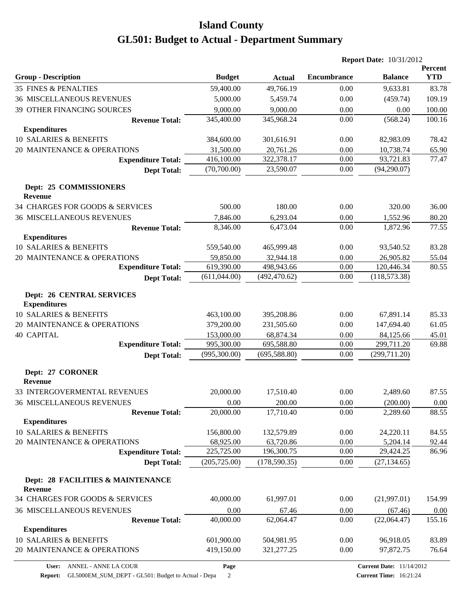|                                                         |               |               | <b>Report Date: 10/31/2012</b> |                |                              |
|---------------------------------------------------------|---------------|---------------|--------------------------------|----------------|------------------------------|
| <b>Group - Description</b>                              | <b>Budget</b> | <b>Actual</b> | <b>Encumbrance</b>             | <b>Balance</b> | <b>Percent</b><br><b>YTD</b> |
| <b>35 FINES &amp; PENALTIES</b>                         | 59,400.00     | 49,766.19     | 0.00                           | 9,633.81       | 83.78                        |
| <b>36 MISCELLANEOUS REVENUES</b>                        | 5,000.00      | 5,459.74      | 0.00                           | (459.74)       | 109.19                       |
| 39 OTHER FINANCING SOURCES                              | 9,000.00      | 9,000.00      | 0.00                           | 0.00           | 100.00                       |
| <b>Revenue Total:</b>                                   | 345,400.00    | 345,968.24    | 0.00                           | (568.24)       | 100.16                       |
| <b>Expenditures</b>                                     |               |               |                                |                |                              |
| <b>10 SALARIES &amp; BENEFITS</b>                       | 384,600.00    | 301,616.91    | 0.00                           | 82,983.09      | 78.42                        |
| 20 MAINTENANCE & OPERATIONS                             | 31,500.00     | 20,761.26     | 0.00                           | 10,738.74      | 65.90                        |
| <b>Expenditure Total:</b>                               | 416,100.00    | 322,378.17    | 0.00                           | 93,721.83      | 77.47                        |
| <b>Dept Total:</b>                                      | (70,700.00)   | 23,590.07     | 0.00                           | (94,290.07)    |                              |
| Dept: 25 COMMISSIONERS<br><b>Revenue</b>                |               |               |                                |                |                              |
| 34 CHARGES FOR GOODS & SERVICES                         | 500.00        | 180.00        | 0.00                           | 320.00         | 36.00                        |
| <b>36 MISCELLANEOUS REVENUES</b>                        | 7,846.00      | 6,293.04      | 0.00                           | 1,552.96       | 80.20                        |
| <b>Revenue Total:</b>                                   | 8,346.00      | 6,473.04      | 0.00                           | 1,872.96       | 77.55                        |
| <b>Expenditures</b>                                     |               |               |                                |                |                              |
| 10 SALARIES & BENEFITS                                  | 559,540.00    | 465,999.48    | 0.00                           | 93,540.52      | 83.28                        |
| 20 MAINTENANCE & OPERATIONS                             | 59,850.00     | 32,944.18     | 0.00                           | 26,905.82      | 55.04                        |
| <b>Expenditure Total:</b>                               | 619,390.00    | 498,943.66    | 0.00                           | 120,446.34     | 80.55                        |
| <b>Dept Total:</b>                                      | (611, 044.00) | (492, 470.62) | 0.00                           | (118, 573.38)  |                              |
| <b>Dept: 26 CENTRAL SERVICES</b><br><b>Expenditures</b> |               |               |                                |                |                              |
| <b>10 SALARIES &amp; BENEFITS</b>                       | 463,100.00    | 395,208.86    | 0.00                           | 67,891.14      | 85.33                        |
| 20 MAINTENANCE & OPERATIONS                             | 379,200.00    | 231,505.60    | 0.00                           | 147,694.40     | 61.05                        |
| <b>40 CAPITAL</b>                                       | 153,000.00    | 68,874.34     | 0.00                           | 84,125.66      | 45.01                        |
| <b>Expenditure Total:</b>                               | 995,300.00    | 695,588.80    | 0.00                           | 299,711.20     | 69.88                        |
| <b>Dept Total:</b>                                      | (995, 300.00) | (695, 588.80) | 0.00                           | (299, 711.20)  |                              |
| Dept: 27 CORONER<br><b>Revenue</b>                      |               |               |                                |                |                              |
| 33 INTERGOVERMENTAL REVENUES                            | 20,000.00     | 17,510.40     | 0.00                           | 2,489.60       | 87.55                        |
| <b>36 MISCELLANEOUS REVENUES</b>                        | 0.00          | 200.00        | 0.00                           | (200.00)       | 0.00                         |
| <b>Revenue Total:</b>                                   | 20,000.00     | 17,710.40     | 0.00                           | 2,289.60       | 88.55                        |
| <b>Expenditures</b>                                     |               |               |                                |                |                              |
| 10 SALARIES & BENEFITS                                  | 156,800.00    | 132,579.89    | 0.00                           | 24,220.11      | 84.55                        |
| 20 MAINTENANCE & OPERATIONS                             | 68,925.00     | 63,720.86     | 0.00                           | 5,204.14       | 92.44                        |
| <b>Expenditure Total:</b>                               | 225,725.00    | 196,300.75    | 0.00                           | 29,424.25      | 86.96                        |
| <b>Dept Total:</b>                                      | (205, 725.00) | (178, 590.35) | 0.00                           | (27, 134.65)   |                              |
| Dept: 28 FACILITIES & MAINTENANCE<br><b>Revenue</b>     |               |               |                                |                |                              |
| 34 CHARGES FOR GOODS & SERVICES                         | 40,000.00     | 61,997.01     | 0.00                           | (21,997.01)    | 154.99                       |
| <b>36 MISCELLANEOUS REVENUES</b>                        | 0.00          | 67.46         | 0.00                           | (67.46)        | 0.00                         |
| <b>Revenue Total:</b>                                   | 40,000.00     | 62,064.47     | 0.00                           | (22,064.47)    | 155.16                       |
| <b>Expenditures</b>                                     |               |               |                                |                |                              |
| 10 SALARIES & BENEFITS                                  | 601,900.00    | 504,981.95    | 0.00                           | 96,918.05      | 83.89                        |
| 20 MAINTENANCE & OPERATIONS                             | 419,150.00    | 321,277.25    | 0.00                           | 97,872.75      | 76.64                        |
|                                                         |               |               |                                |                |                              |

**User:** ANNEL - ANNE LA COUR

**Page**

**Report:** GL5000EM\_SUM\_DEPT - GL501: Budget to Actual - Depa 2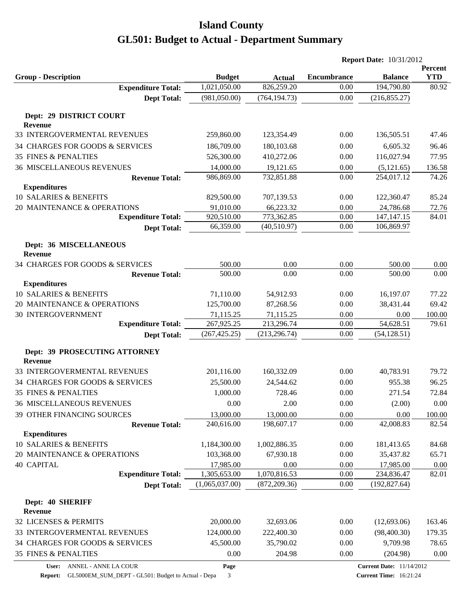|                                                 |                |               | <b>Report Date: 10/31/2012</b> |                                 |                       |
|-------------------------------------------------|----------------|---------------|--------------------------------|---------------------------------|-----------------------|
| <b>Group - Description</b>                      | <b>Budget</b>  | <b>Actual</b> | <b>Encumbrance</b>             | <b>Balance</b>                  | Percent<br><b>YTD</b> |
| <b>Expenditure Total:</b>                       | 1,021,050.00   | 826,259.20    | 0.00                           | 194,790.80                      | 80.92                 |
| <b>Dept Total:</b>                              | (981,050.00)   | (764, 194.73) | 0.00                           | (216, 855.27)                   |                       |
| Dept: 29 DISTRICT COURT<br><b>Revenue</b>       |                |               |                                |                                 |                       |
| 33 INTERGOVERMENTAL REVENUES                    | 259,860.00     | 123,354.49    | 0.00                           | 136,505.51                      | 47.46                 |
| 34 CHARGES FOR GOODS & SERVICES                 | 186,709.00     | 180,103.68    | 0.00                           | 6,605.32                        | 96.46                 |
| <b>35 FINES &amp; PENALTIES</b>                 | 526,300.00     | 410,272.06    | 0.00                           | 116,027.94                      | 77.95                 |
| <b>36 MISCELLANEOUS REVENUES</b>                | 14,000.00      | 19,121.65     | 0.00                           | (5, 121.65)                     | 136.58                |
| <b>Revenue Total:</b>                           | 986,869.00     | 732,851.88    | 0.00                           | 254,017.12                      | 74.26                 |
| <b>Expenditures</b>                             |                |               |                                |                                 |                       |
| 10 SALARIES & BENEFITS                          | 829,500.00     | 707,139.53    | 0.00                           | 122,360.47                      | 85.24                 |
| 20 MAINTENANCE & OPERATIONS                     | 91,010.00      | 66,223.32     | 0.00                           | 24,786.68                       | 72.76                 |
| <b>Expenditure Total:</b>                       | 920,510.00     | 773,362.85    | 0.00                           | 147, 147. 15                    | 84.01                 |
| <b>Dept Total:</b>                              | 66,359.00      | (40,510.97)   | 0.00                           | 106,869.97                      |                       |
| Dept: 36 MISCELLANEOUS<br>Revenue               |                |               |                                |                                 |                       |
| 34 CHARGES FOR GOODS & SERVICES                 | 500.00         | 0.00          | 0.00                           | 500.00                          | 0.00                  |
| <b>Revenue Total:</b>                           | 500.00         | 0.00          | 0.00                           | 500.00                          | 0.00                  |
| <b>Expenditures</b>                             |                |               |                                |                                 |                       |
| 10 SALARIES & BENEFITS                          | 71,110.00      | 54,912.93     | 0.00                           | 16,197.07                       | 77.22                 |
| 20 MAINTENANCE & OPERATIONS                     | 125,700.00     | 87,268.56     | 0.00                           | 38,431.44                       | 69.42                 |
| <b>30 INTERGOVERNMENT</b>                       | 71,115.25      | 71,115.25     | 0.00                           | 0.00                            | 100.00                |
| <b>Expenditure Total:</b>                       | 267,925.25     | 213,296.74    | 0.00                           | 54,628.51                       | 79.61                 |
| <b>Dept Total:</b>                              | (267, 425.25)  | (213, 296.74) | 0.00                           | (54, 128.51)                    |                       |
| Dept: 39 PROSECUTING ATTORNEY<br><b>Revenue</b> |                |               |                                |                                 |                       |
| 33 INTERGOVERMENTAL REVENUES                    | 201,116.00     | 160,332.09    | 0.00                           | 40,783.91                       | 79.72                 |
| 34 CHARGES FOR GOODS & SERVICES                 | 25,500.00      | 24,544.62     | 0.00                           | 955.38                          | 96.25                 |
| 35 FINES & PENALTIES                            | 1,000.00       | 728.46        | 0.00                           | 271.54                          | 72.84                 |
| <b>36 MISCELLANEOUS REVENUES</b>                | $0.00\,$       | 2.00          | 0.00                           | (2.00)                          | 0.00                  |
| <b>39 OTHER FINANCING SOURCES</b>               | 13,000.00      | 13,000.00     | 0.00                           | 0.00                            | 100.00                |
| <b>Revenue Total:</b>                           | 240,616.00     | 198,607.17    | 0.00                           | 42,008.83                       | 82.54                 |
| <b>Expenditures</b>                             |                |               |                                |                                 |                       |
| 10 SALARIES & BENEFITS                          | 1,184,300.00   | 1,002,886.35  | 0.00                           | 181,413.65                      | 84.68                 |
| 20 MAINTENANCE & OPERATIONS                     | 103,368.00     | 67,930.18     | 0.00                           | 35,437.82                       | 65.71                 |
| <b>40 CAPITAL</b>                               | 17,985.00      | 0.00          | 0.00                           | 17,985.00                       | 0.00                  |
| <b>Expenditure Total:</b>                       | 1,305,653.00   | 1,070,816.53  | 0.00                           | 234,836.47                      | 82.01                 |
| <b>Dept Total:</b>                              | (1,065,037.00) | (872, 209.36) | 0.00                           | (192, 827.64)                   |                       |
| Dept: 40 SHERIFF<br><b>Revenue</b>              |                |               |                                |                                 |                       |
| 32 LICENSES & PERMITS                           | 20,000.00      | 32,693.06     | 0.00                           | (12,693.06)                     | 163.46                |
| 33 INTERGOVERMENTAL REVENUES                    | 124,000.00     | 222,400.30    | 0.00                           | (98, 400.30)                    | 179.35                |
| 34 CHARGES FOR GOODS & SERVICES                 | 45,500.00      | 35,790.02     | 0.00                           | 9,709.98                        | 78.65                 |
| 35 FINES & PENALTIES                            | 0.00           | 204.98        | 0.00                           | (204.98)                        | 0.00                  |
| ANNEL - ANNE LA COUR<br>User:                   | Page           |               |                                | <b>Current Date: 11/14/2012</b> |                       |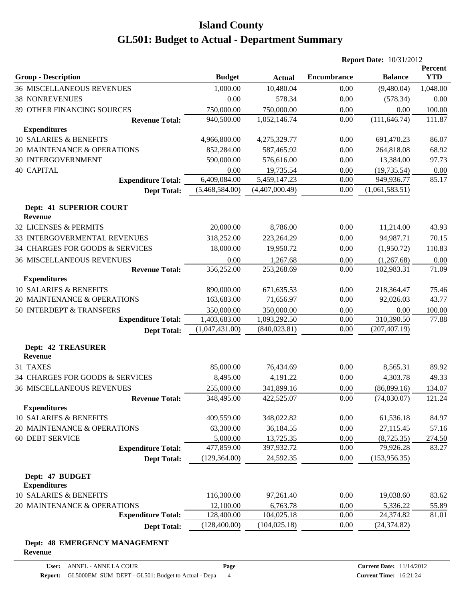|                                             |                |                | <b>Report Date: 10/31/2012</b> |                |                       |
|---------------------------------------------|----------------|----------------|--------------------------------|----------------|-----------------------|
| <b>Group - Description</b>                  | <b>Budget</b>  | <b>Actual</b>  | <b>Encumbrance</b>             | <b>Balance</b> | Percent<br><b>YTD</b> |
| <b>36 MISCELLANEOUS REVENUES</b>            | 1,000.00       | 10,480.04      | 0.00                           | (9,480.04)     | 1,048.00              |
| <b>38 NONREVENUES</b>                       | 0.00           | 578.34         | 0.00                           | (578.34)       | 0.00                  |
| 39 OTHER FINANCING SOURCES                  | 750,000.00     | 750,000.00     | 0.00                           | 0.00           | 100.00                |
| <b>Revenue Total:</b>                       | 940,500.00     | 1,052,146.74   | 0.00                           | (111, 646.74)  | 111.87                |
| <b>Expenditures</b>                         |                |                |                                |                |                       |
| 10 SALARIES & BENEFITS                      | 4,966,800.00   | 4,275,329.77   | 0.00                           | 691,470.23     | 86.07                 |
| 20 MAINTENANCE & OPERATIONS                 | 852,284.00     | 587,465.92     | 0.00                           | 264,818.08     | 68.92                 |
| <b>30 INTERGOVERNMENT</b>                   | 590,000.00     | 576,616.00     | 0.00                           | 13,384.00      | 97.73                 |
| <b>40 CAPITAL</b>                           | 0.00           | 19,735.54      | 0.00                           | (19, 735.54)   | 0.00                  |
| <b>Expenditure Total:</b>                   | 6,409,084.00   | 5,459,147.23   | 0.00                           | 949,936.77     | 85.17                 |
| <b>Dept Total:</b>                          | (5,468,584.00) | (4,407,000.49) | 0.00                           | (1,061,583.51) |                       |
| Dept: 41 SUPERIOR COURT<br><b>Revenue</b>   |                |                |                                |                |                       |
| 32 LICENSES & PERMITS                       | 20,000.00      | 8,786.00       | 0.00                           | 11,214.00      | 43.93                 |
| 33 INTERGOVERMENTAL REVENUES                | 318,252.00     | 223,264.29     | 0.00                           | 94,987.71      | 70.15                 |
| 34 CHARGES FOR GOODS & SERVICES             | 18,000.00      | 19,950.72      | 0.00                           | (1,950.72)     | 110.83                |
| <b>36 MISCELLANEOUS REVENUES</b>            | 0.00           | 1,267.68       | 0.00                           | (1,267.68)     | 0.00                  |
| <b>Revenue Total:</b>                       | 356,252.00     | 253,268.69     | 0.00                           | 102,983.31     | 71.09                 |
| <b>Expenditures</b>                         |                |                |                                |                |                       |
| 10 SALARIES & BENEFITS                      | 890,000.00     | 671,635.53     | 0.00                           | 218,364.47     | 75.46                 |
| 20 MAINTENANCE & OPERATIONS                 | 163,683.00     | 71,656.97      | 0.00                           | 92,026.03      | 43.77                 |
| 50 INTERDEPT & TRANSFERS                    | 350,000.00     | 350,000.00     | 0.00                           | 0.00           | 100.00                |
| <b>Expenditure Total:</b>                   | 1,403,683.00   | 1,093,292.50   | 0.00                           | 310,390.50     | 77.88                 |
| <b>Dept Total:</b>                          | (1,047,431.00) | (840, 023.81)  | 0.00                           | (207, 407.19)  |                       |
| <b>Dept: 42 TREASURER</b><br><b>Revenue</b> |                |                |                                |                |                       |
| 31 TAXES                                    | 85,000.00      | 76,434.69      | 0.00                           | 8,565.31       | 89.92                 |
| 34 CHARGES FOR GOODS & SERVICES             | 8,495.00       | 4,191.22       | 0.00                           | 4,303.78       | 49.33                 |
| <b>36 MISCELLANEOUS REVENUES</b>            | 255,000.00     | 341,899.16     | 0.00                           | (86,899.16)    | 134.07                |
| <b>Revenue Total:</b>                       | 348,495.00     | 422,525.07     | 0.00                           | (74,030.07)    | 121.24                |
| <b>Expenditures</b>                         |                |                |                                |                |                       |
| 10 SALARIES & BENEFITS                      | 409,559.00     | 348,022.82     | 0.00                           | 61,536.18      | 84.97                 |
| 20 MAINTENANCE & OPERATIONS                 | 63,300.00      | 36,184.55      | 0.00                           | 27,115.45      | 57.16                 |
| 60 DEBT SERVICE                             | 5,000.00       | 13,725.35      | 0.00                           | (8,725.35)     | 274.50                |
| <b>Expenditure Total:</b>                   | 477,859.00     | 397,932.72     | 0.00                           | 79,926.28      | 83.27                 |
| <b>Dept Total:</b>                          | (129, 364.00)  | 24,592.35      | 0.00                           | (153, 956.35)  |                       |
| Dept: 47 BUDGET<br><b>Expenditures</b>      |                |                |                                |                |                       |
| 10 SALARIES & BENEFITS                      | 116,300.00     | 97,261.40      | 0.00                           | 19,038.60      | 83.62                 |
| 20 MAINTENANCE & OPERATIONS                 | 12,100.00      | 6,763.78       | 0.00                           | 5,336.22       | 55.89                 |
| <b>Expenditure Total:</b>                   | 128,400.00     | 104,025.18     | 0.00                           | 24,374.82      | 81.01                 |
| <b>Dept Total:</b>                          | (128,400.00)   | (104, 025.18)  | 0.00                           | (24, 374.82)   |                       |
| Dept: 48 EMERGENCY MANAGEMENT               |                |                |                                |                |                       |

#### **Revenue**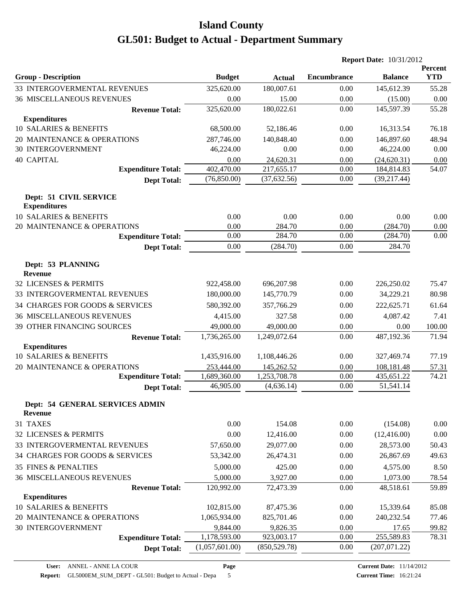|                                                   |                |               | <b>Report Date: 10/31/2012</b> |                |                       |
|---------------------------------------------------|----------------|---------------|--------------------------------|----------------|-----------------------|
| <b>Group - Description</b>                        | <b>Budget</b>  | <b>Actual</b> | <b>Encumbrance</b>             | <b>Balance</b> | Percent<br><b>YTD</b> |
| 33 INTERGOVERMENTAL REVENUES                      | 325,620.00     | 180,007.61    | 0.00                           | 145,612.39     | 55.28                 |
| <b>36 MISCELLANEOUS REVENUES</b>                  | 0.00           | 15.00         | 0.00                           | (15.00)        | 0.00                  |
| <b>Revenue Total:</b>                             | 325,620.00     | 180,022.61    | 0.00                           | 145,597.39     | 55.28                 |
| <b>Expenditures</b>                               |                |               |                                |                |                       |
| 10 SALARIES & BENEFITS                            | 68,500.00      | 52,186.46     | 0.00                           | 16,313.54      | 76.18                 |
| 20 MAINTENANCE & OPERATIONS                       | 287,746.00     | 140,848.40    | 0.00                           | 146,897.60     | 48.94                 |
| <b>30 INTERGOVERNMENT</b>                         | 46,224.00      | 0.00          | 0.00                           | 46,224.00      | 0.00                  |
| <b>40 CAPITAL</b>                                 | 0.00           | 24,620.31     | 0.00                           | (24, 620.31)   | 0.00                  |
| <b>Expenditure Total:</b>                         | 402,470.00     | 217,655.17    | 0.00                           | 184,814.83     | 54.07                 |
| <b>Dept Total:</b>                                | (76,850.00)    | (37, 632.56)  | 0.00                           | (39, 217.44)   |                       |
| Dept: 51 CIVIL SERVICE<br><b>Expenditures</b>     |                |               |                                |                |                       |
| <b>10 SALARIES &amp; BENEFITS</b>                 | 0.00           | 0.00          | 0.00                           | 0.00           | 0.00                  |
| 20 MAINTENANCE & OPERATIONS                       | 0.00           | 284.70        | 0.00                           | (284.70)       | 0.00                  |
| <b>Expenditure Total:</b>                         | 0.00           | 284.70        | 0.00                           | (284.70)       | 0.00                  |
| <b>Dept Total:</b>                                | 0.00           | (284.70)      | 0.00                           | 284.70         |                       |
| Dept: 53 PLANNING<br><b>Revenue</b>               |                |               |                                |                |                       |
| 32 LICENSES & PERMITS                             | 922,458.00     | 696,207.98    | 0.00                           | 226,250.02     | 75.47                 |
| 33 INTERGOVERMENTAL REVENUES                      | 180,000.00     | 145,770.79    | 0.00                           | 34,229.21      | 80.98                 |
| 34 CHARGES FOR GOODS & SERVICES                   | 580,392.00     | 357,766.29    | 0.00                           | 222,625.71     | 61.64                 |
| <b>36 MISCELLANEOUS REVENUES</b>                  | 4,415.00       | 327.58        | 0.00                           | 4,087.42       | 7.41                  |
| 39 OTHER FINANCING SOURCES                        | 49,000.00      | 49,000.00     | 0.00                           | 0.00           | 100.00                |
| <b>Revenue Total:</b>                             | 1,736,265.00   | 1,249,072.64  | 0.00                           | 487,192.36     | 71.94                 |
| <b>Expenditures</b>                               |                |               |                                |                |                       |
| 10 SALARIES & BENEFITS                            | 1,435,916.00   | 1,108,446.26  | 0.00                           | 327,469.74     | 77.19                 |
| 20 MAINTENANCE & OPERATIONS                       | 253,444.00     | 145,262.52    | 0.00                           | 108,181.48     | 57.31                 |
| <b>Expenditure Total:</b>                         | 1,689,360.00   | 1,253,708.78  | 0.00                           | 435,651.22     | 74.21                 |
| <b>Dept Total:</b>                                | 46,905.00      | (4, 636.14)   | 0.00                           | 51,541.14      |                       |
| Dept: 54 GENERAL SERVICES ADMIN<br><b>Revenue</b> |                |               |                                |                |                       |
| 31 TAXES                                          | 0.00           | 154.08        | $0.00\,$                       | (154.08)       | 0.00                  |
| 32 LICENSES & PERMITS                             | 0.00           | 12,416.00     | 0.00                           | (12, 416.00)   | 0.00                  |
| 33 INTERGOVERMENTAL REVENUES                      | 57,650.00      | 29,077.00     | 0.00                           | 28,573.00      | 50.43                 |
| 34 CHARGES FOR GOODS & SERVICES                   | 53,342.00      | 26,474.31     | 0.00                           | 26,867.69      | 49.63                 |
| <b>35 FINES &amp; PENALTIES</b>                   | 5,000.00       | 425.00        | 0.00                           | 4,575.00       | 8.50                  |
| 36 MISCELLANEOUS REVENUES                         | 5,000.00       | 3,927.00      | 0.00                           | 1,073.00       | 78.54                 |
| <b>Revenue Total:</b>                             | 120,992.00     | 72,473.39     | 0.00                           | 48,518.61      | 59.89                 |
| <b>Expenditures</b>                               |                |               |                                |                |                       |
| 10 SALARIES & BENEFITS                            | 102,815.00     | 87,475.36     | 0.00                           | 15,339.64      | 85.08                 |
| 20 MAINTENANCE & OPERATIONS                       | 1,065,934.00   | 825,701.46    | 0.00                           | 240,232.54     | 77.46                 |
| <b>30 INTERGOVERNMENT</b>                         | 9,844.00       | 9,826.35      | 0.00                           | 17.65          | 99.82                 |
| <b>Expenditure Total:</b>                         | 1,178,593.00   | 923,003.17    | 0.00                           | 255,589.83     | 78.31                 |
| <b>Dept Total:</b>                                | (1,057,601.00) | (850, 529.78) | 0.00                           | (207, 071.22)  |                       |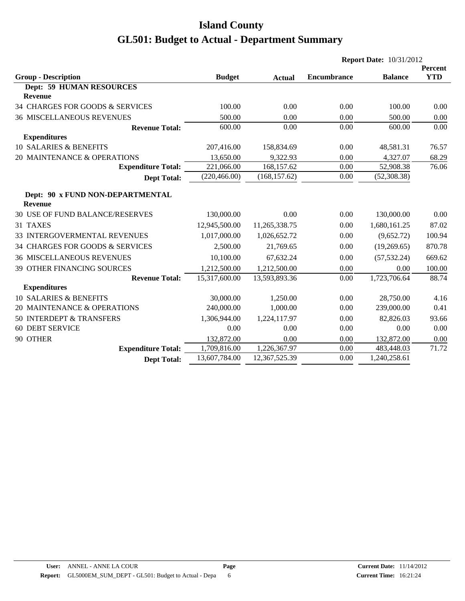|                                                    |               |               |             | <b>Report Date: 10/31/2012</b> |                       |
|----------------------------------------------------|---------------|---------------|-------------|--------------------------------|-----------------------|
| <b>Group - Description</b>                         | <b>Budget</b> | <b>Actual</b> | Encumbrance | <b>Balance</b>                 | Percent<br><b>YTD</b> |
| <b>Dept: 59 HUMAN RESOURCES</b>                    |               |               |             |                                |                       |
| <b>Revenue</b>                                     |               |               |             |                                |                       |
| 34 CHARGES FOR GOODS & SERVICES                    | 100.00        | 0.00          | 0.00        | 100.00                         | 0.00                  |
| <b>36 MISCELLANEOUS REVENUES</b>                   | 500.00        | 0.00          | 0.00        | 500.00                         | 0.00                  |
| <b>Revenue Total:</b>                              | 600.00        | 0.00          | 0.00        | 600.00                         | 0.00                  |
| <b>Expenditures</b>                                |               |               |             |                                |                       |
| <b>10 SALARIES &amp; BENEFITS</b>                  | 207,416.00    | 158,834.69    | 0.00        | 48,581.31                      | 76.57                 |
| 20 MAINTENANCE & OPERATIONS                        | 13,650.00     | 9,322.93      | 0.00        | 4,327.07                       | 68.29                 |
| <b>Expenditure Total:</b>                          | 221,066.00    | 168,157.62    | 0.00        | 52,908.38                      | 76.06                 |
| <b>Dept Total:</b>                                 | (220, 466.00) | (168, 157.62) | 0.00        | (52, 308.38)                   |                       |
| Dept: 90 x FUND NON-DEPARTMENTAL<br><b>Revenue</b> |               |               |             |                                |                       |
| <b>30 USE OF FUND BALANCE/RESERVES</b>             | 130,000.00    | 0.00          | 0.00        | 130,000.00                     | 0.00                  |
| 31 TAXES                                           | 12,945,500.00 | 11,265,338.75 | 0.00        | 1,680,161.25                   | 87.02                 |
| 33 INTERGOVERMENTAL REVENUES                       | 1,017,000.00  | 1,026,652.72  | 0.00        | (9,652.72)                     | 100.94                |
| 34 CHARGES FOR GOODS & SERVICES                    | 2,500.00      | 21,769.65     | 0.00        | (19,269.65)                    | 870.78                |
| <b>36 MISCELLANEOUS REVENUES</b>                   | 10,100.00     | 67,632.24     | 0.00        | (57, 532.24)                   | 669.62                |
| 39 OTHER FINANCING SOURCES                         | 1,212,500.00  | 1,212,500.00  | 0.00        | 0.00                           | 100.00                |
| <b>Revenue Total:</b>                              | 15,317,600.00 | 13,593,893.36 | 0.00        | 1,723,706.64                   | 88.74                 |
| <b>Expenditures</b>                                |               |               |             |                                |                       |
| <b>10 SALARIES &amp; BENEFITS</b>                  | 30,000.00     | 1,250.00      | 0.00        | 28,750.00                      | 4.16                  |
| 20 MAINTENANCE & OPERATIONS                        | 240,000.00    | 1,000.00      | 0.00        | 239,000.00                     | 0.41                  |
| 50 INTERDEPT & TRANSFERS                           | 1,306,944.00  | 1,224,117.97  | 0.00        | 82,826.03                      | 93.66                 |
| <b>60 DEBT SERVICE</b>                             | 0.00          | 0.00          | 0.00        | 0.00                           | 0.00                  |
| 90 OTHER                                           | 132,872.00    | 0.00          | 0.00        | 132,872.00                     | 0.00                  |
| <b>Expenditure Total:</b>                          | 1,709,816.00  | 1,226,367.97  | 0.00        | 483,448.03                     | 71.72                 |
| <b>Dept Total:</b>                                 | 13,607,784.00 | 12,367,525.39 | 0.00        | 1,240,258.61                   |                       |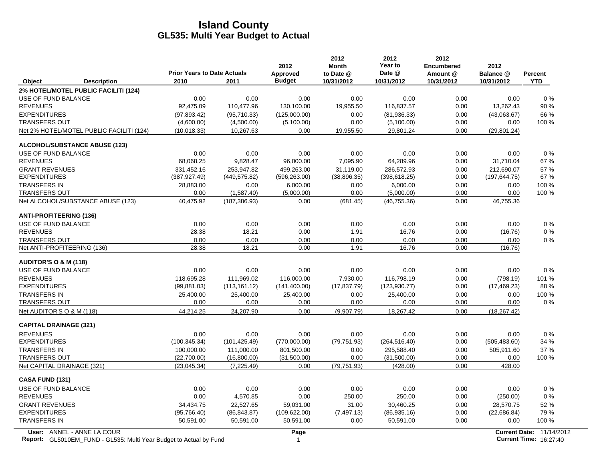|                                                                                                  | <b>Prior Years to Date Actuals</b> |               | 2012<br>Approved     | 2012<br><b>Month</b><br>to Date @ | 2012<br>Year to<br>Date @ | 2012<br><b>Encumbered</b><br>Amount @ | 2012<br>Balance @ | Percent                                                   |
|--------------------------------------------------------------------------------------------------|------------------------------------|---------------|----------------------|-----------------------------------|---------------------------|---------------------------------------|-------------------|-----------------------------------------------------------|
| Object<br><b>Description</b>                                                                     | 2010                               | 2011          | <b>Budget</b>        | 10/31/2012                        | 10/31/2012                | 10/31/2012                            | 10/31/2012        | <b>YTD</b>                                                |
| 2% HOTEL/MOTEL PUBLIC FACILITI (124)                                                             |                                    |               |                      |                                   |                           |                                       |                   |                                                           |
| USE OF FUND BALANCE                                                                              | 0.00                               | 0.00          | 0.00                 | 0.00                              | 0.00                      | 0.00                                  | 0.00              | $0\%$                                                     |
| <b>REVENUES</b>                                                                                  | 92,475.09                          | 110,477.96    | 130,100.00           | 19,955.50                         | 116,837.57                | 0.00                                  | 13,262.43         | 90 %                                                      |
| <b>EXPENDITURES</b>                                                                              | (97, 893.42)                       | (95,710.33)   | (125,000.00)         | 0.00                              | (81,936.33)               | 0.00                                  | (43,063.67)       | 66 %                                                      |
| <b>TRANSFERS OUT</b>                                                                             | (4,600.00)                         | (4,500.00)    | (5,100.00)           | 0.00                              | (5,100.00)                | 0.00                                  | 0.00              | 100 %                                                     |
| Net 2% HOTEL/MOTEL PUBLIC FACILITI (124)                                                         | (10,018.33)                        | 10,267.63     | 0.00                 | 19,955.50                         | 29,801.24                 | 0.00                                  | (29, 801.24)      |                                                           |
| <b>ALCOHOL/SUBSTANCE ABUSE (123)</b>                                                             |                                    |               |                      |                                   |                           |                                       |                   |                                                           |
| USE OF FUND BALANCE                                                                              | 0.00                               | 0.00          | 0.00                 | 0.00                              | 0.00                      | 0.00                                  | 0.00              | $0\%$                                                     |
| <b>REVENUES</b>                                                                                  | 68,068.25                          | 9,828.47      | 96,000.00            | 7,095.90                          | 64,289.96                 | 0.00                                  | 31,710.04         | 67 %                                                      |
| <b>GRANT REVENUES</b>                                                                            | 331,452.16                         | 253,947.82    | 499,263.00           | 31,119.00                         | 286,572.93                | 0.00                                  | 212,690.07        | 57 %                                                      |
| <b>EXPENDITURES</b>                                                                              | (387, 927.49)                      | (449, 575.82) | (596, 263.00)        | (38,896.35)                       | (398, 618.25)             | 0.00                                  | (197, 644.75)     | 67%                                                       |
| <b>TRANSFERS IN</b>                                                                              | 28,883.00                          | 0.00          | 6,000.00             | 0.00                              | 6,000.00                  | 0.00                                  | 0.00              | 100 %                                                     |
| <b>TRANSFERS OUT</b>                                                                             | 0.00                               | (1,587.40)    | (5,000.00)           | 0.00                              | (5,000.00)                | 0.00                                  | 0.00              | 100 %                                                     |
| Net ALCOHOL/SUBSTANCE ABUSE (123)                                                                | 40,475.92                          | (187, 386.93) | 0.00                 | (681.45)                          | (46, 755.36)              | 0.00                                  | 46,755.36         |                                                           |
| <b>ANTI-PROFITEERING (136)</b>                                                                   |                                    |               |                      |                                   |                           |                                       |                   |                                                           |
| USE OF FUND BALANCE                                                                              | 0.00                               | 0.00          | 0.00                 | 0.00                              | 0.00                      | 0.00                                  | 0.00              | 0%                                                        |
| <b>REVENUES</b>                                                                                  | 28.38                              | 18.21         | 0.00                 | 1.91                              | 16.76                     | 0.00                                  | (16.76)           | 0%                                                        |
| <b>TRANSFERS OUT</b>                                                                             | 0.00                               | 0.00          | 0.00                 | 0.00                              | 0.00                      | 0.00                                  | 0.00              | 0%                                                        |
| Net ANTI-PROFITEERING (136)                                                                      | 28.38                              | 18.21         | 0.00                 | 1.91                              | 16.76                     | 0.00                                  | (16.76)           |                                                           |
| AUDITOR'S O & M (118)                                                                            |                                    |               |                      |                                   |                           |                                       |                   |                                                           |
| USE OF FUND BALANCE                                                                              | 0.00                               | 0.00          | 0.00                 | 0.00                              | 0.00                      | 0.00                                  | 0.00              | $0\%$                                                     |
| <b>REVENUES</b>                                                                                  | 118,695.28                         | 111,969.02    | 116,000.00           | 7,930.00                          | 116,798.19                | 0.00                                  | (798.19)          | 101 %                                                     |
| <b>EXPENDITURES</b>                                                                              | (99, 881.03)                       | (113, 161.12) | (141, 400.00)        | (17, 837.79)                      | (123, 930.77)             | 0.00                                  | (17, 469.23)      | 88%                                                       |
| <b>TRANSFERS IN</b>                                                                              | 25,400.00                          | 25,400.00     | 25,400.00            | 0.00                              | 25,400.00                 | 0.00                                  | 0.00              | 100 %                                                     |
| <b>TRANSFERS OUT</b>                                                                             | 0.00                               | 0.00          | 0.00                 | 0.00                              | 0.00                      | 0.00                                  | 0.00              | 0%                                                        |
| Net AUDITOR'S O & M (118)                                                                        | 44,214.25                          | 24,207.90     | 0.00                 | (9,907.79)                        | 18,267.42                 | 0.00                                  | (18, 267.42)      |                                                           |
| <b>CAPITAL DRAINAGE (321)</b>                                                                    |                                    |               |                      |                                   |                           |                                       |                   |                                                           |
| <b>REVENUES</b>                                                                                  | 0.00                               | 0.00          | 0.00                 | 0.00                              | 0.00                      | 0.00                                  | 0.00              | 0%                                                        |
| <b>EXPENDITURES</b>                                                                              | (100, 345.34)                      | (101, 425.49) | (770,000.00)         | (79, 751.93)                      | (264, 516.40)             | 0.00                                  | (505, 483.60)     | 34 %                                                      |
| <b>TRANSFERS IN</b>                                                                              | 100,000.00                         | 111,000.00    | 801,500.00           | 0.00                              | 295,588.40                | 0.00                                  | 505,911.60        | 37 %                                                      |
| <b>TRANSFERS OUT</b>                                                                             | (22,700.00)                        | (16,800.00)   | (31,500.00)          | 0.00                              | (31,500.00)               | 0.00                                  | 0.00              | 100 %                                                     |
| Net CAPITAL DRAINAGE (321)                                                                       | (23,045.34)                        | (7, 225.49)   | 0.00                 | (79, 751.93)                      | (428.00)                  | 0.00                                  | 428.00            |                                                           |
| <b>CASA FUND (131)</b>                                                                           |                                    |               |                      |                                   |                           |                                       |                   |                                                           |
| USE OF FUND BALANCE                                                                              | 0.00                               | 0.00          | 0.00                 | 0.00                              | 0.00                      | 0.00                                  | 0.00              | 0%                                                        |
| <b>REVENUES</b>                                                                                  | 0.00                               | 4,570.85      | 0.00                 | 250.00                            | 250.00                    | 0.00                                  | (250.00)          | 0%                                                        |
| <b>GRANT REVENUES</b>                                                                            | 34,434.75                          | 22,527.65     | 59,031.00            | 31.00                             | 30,460.25                 | 0.00                                  | 28,570.75         | 52%                                                       |
| <b>EXPENDITURES</b>                                                                              | (95,766.40)                        | (86, 843.87)  | (109, 622.00)        | (7, 497.13)                       | (86,935.16)               | 0.00                                  | (22,686.84)       | 79 %                                                      |
| <b>TRANSFERS IN</b>                                                                              | 50,591.00                          | 50,591.00     | 50,591.00            | 0.00                              | 50,591.00                 | 0.00                                  | 0.00              | 100 %                                                     |
| User: ANNEL - ANNE LA COUR<br>Report: GL5010EM_FUND - GL535: Multi Year Budget to Actual by Fund |                                    |               | Page<br>$\mathbf{1}$ |                                   |                           |                                       |                   | Current Date: 11/14/2012<br><b>Current Time: 16:27:40</b> |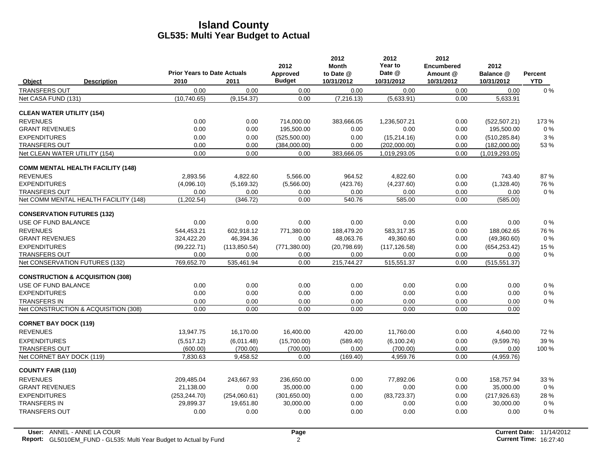|                                   |                                             | <b>Prior Years to Date Actuals</b> |               | 2012<br>Approved | 2012<br><b>Month</b><br>to Date @ | 2012<br>Year to<br>Date @ | 2012<br><b>Encumbered</b><br>Amount @ | 2012<br>Balance @ | Percent    |
|-----------------------------------|---------------------------------------------|------------------------------------|---------------|------------------|-----------------------------------|---------------------------|---------------------------------------|-------------------|------------|
| <b>Object</b>                     | <b>Description</b>                          | 2010                               | 2011          | <b>Budget</b>    | 10/31/2012                        | 10/31/2012                | 10/31/2012                            | 10/31/2012        | <b>YTD</b> |
| <b>TRANSFERS OUT</b>              |                                             | 0.00                               | 0.00          | 0.00             | 0.00                              | 0.00                      | 0.00                                  | 0.00              | $0\%$      |
| Net CASA FUND (131)               |                                             | (10.740.65)                        | (9, 154.37)   | 0.00             | (7, 216.13)                       | (5,633.91)                | 0.00                                  | 5,633.91          |            |
| <b>CLEAN WATER UTILITY (154)</b>  |                                             |                                    |               |                  |                                   |                           |                                       |                   |            |
| <b>REVENUES</b>                   |                                             | 0.00                               | 0.00          | 714,000.00       | 383,666.05                        | 1,236,507.21              | 0.00                                  | (522, 507.21)     | 173%       |
| <b>GRANT REVENUES</b>             |                                             | 0.00                               | 0.00          | 195,500.00       | 0.00                              | 0.00                      | 0.00                                  | 195,500.00        | $0\%$      |
| <b>EXPENDITURES</b>               |                                             | 0.00                               | 0.00          | (525,500.00)     | 0.00                              | (15, 214.16)              | 0.00                                  | (510, 285.84)     | 3%         |
| <b>TRANSFERS OUT</b>              |                                             | 0.00                               | 0.00          | (384,000.00)     | 0.00                              | (202,000.00)              | 0.00                                  | (182,000.00)      | 53%        |
| Net CLEAN WATER UTILITY (154)     |                                             | 0.00                               | 0.00          | 0.00             | 383.666.05                        | 1,019,293.05              | 0.00                                  | (1,019,293.05)    |            |
|                                   | <b>COMM MENTAL HEALTH FACILITY (148)</b>    |                                    |               |                  |                                   |                           |                                       |                   |            |
| <b>REVENUES</b>                   |                                             | 2,893.56                           | 4,822.60      | 5,566.00         | 964.52                            | 4,822.60                  | 0.00                                  | 743.40            | 87%        |
| <b>EXPENDITURES</b>               |                                             | (4,096.10)                         | (5, 169.32)   | (5,566.00)       | (423.76)                          | (4,237.60)                | 0.00                                  | (1,328.40)        | 76 %       |
| <b>TRANSFERS OUT</b>              |                                             | 0.00                               | 0.00          | 0.00             | 0.00                              | 0.00                      | 0.00                                  | 0.00              | $0\%$      |
|                                   | Net COMM MENTAL HEALTH FACILITY (148)       | (1,202.54)                         | (346.72)      | 0.00             | 540.76                            | 585.00                    | 0.00                                  | (585.00)          |            |
| <b>CONSERVATION FUTURES (132)</b> |                                             |                                    |               |                  |                                   |                           |                                       |                   |            |
| USE OF FUND BALANCE               |                                             | 0.00                               | 0.00          | 0.00             | 0.00                              | 0.00                      | 0.00                                  | 0.00              | 0%         |
| <b>REVENUES</b>                   |                                             | 544,453.21                         | 602,918.12    | 771,380.00       | 188,479.20                        | 583,317.35                | 0.00                                  | 188,062.65        | 76 %       |
| <b>GRANT REVENUES</b>             |                                             | 324,422.20                         | 46,394.36     | 0.00             | 48,063.76                         | 49,360.60                 | 0.00                                  | (49,360.60)       | $0\%$      |
| <b>EXPENDITURES</b>               |                                             | (99, 222.71)                       | (113, 850.54) | (771, 380.00)    | (20,798.69)                       | (117, 126.58)             | 0.00                                  | (654, 253.42)     | 15 %       |
| <b>TRANSFERS OUT</b>              |                                             | 0.00                               | 0.00          | 0.00             | 0.00                              | 0.00                      | 0.00                                  | 0.00              | $0\%$      |
| Net CONSERVATION FUTURES (132)    |                                             | 769,652.70                         | 535.461.94    | 0.00             | 215,744.27                        | 515,551.37                | 0.00                                  | (515, 551.37)     |            |
|                                   | <b>CONSTRUCTION &amp; ACQUISITION (308)</b> |                                    |               |                  |                                   |                           |                                       |                   |            |
| USE OF FUND BALANCE               |                                             | 0.00                               | 0.00          | 0.00             | 0.00                              | 0.00                      | 0.00                                  | 0.00              | $0\%$      |
| <b>EXPENDITURES</b>               |                                             | 0.00                               | 0.00          | 0.00             | 0.00                              | 0.00                      | 0.00                                  | 0.00              | $0\%$      |
| <b>TRANSFERS IN</b>               |                                             | 0.00                               | 0.00          | 0.00             | 0.00                              | 0.00                      | 0.00                                  | 0.00              | $0\%$      |
|                                   | Net CONSTRUCTION & ACQUISITION (308)        | 0.00                               | 0.00          | 0.00             | 0.00                              | 0.00                      | 0.00                                  | 0.00              |            |
| <b>CORNET BAY DOCK (119)</b>      |                                             |                                    |               |                  |                                   |                           |                                       |                   |            |
| <b>REVENUES</b>                   |                                             | 13,947.75                          | 16,170.00     | 16,400.00        | 420.00                            | 11,760.00                 | 0.00                                  | 4,640.00          | 72 %       |
| <b>EXPENDITURES</b>               |                                             | (5,517.12)                         | (6,011.48)    | (15,700.00)      | (589.40)                          | (6, 100.24)               | 0.00                                  | (9,599.76)        | 39 %       |
| <b>TRANSFERS OUT</b>              |                                             | (600.00)                           | (700.00)      | (700.00)         | 0.00                              | (700.00)                  | 0.00                                  | 0.00              | 100 %      |
| Net CORNET BAY DOCK (119)         |                                             | 7,830.63                           | 9,458.52      | 0.00             | (169.40)                          | 4,959.76                  | 0.00                                  | (4,959.76)        |            |
| <b>COUNTY FAIR (110)</b>          |                                             |                                    |               |                  |                                   |                           |                                       |                   |            |
| <b>REVENUES</b>                   |                                             | 209.485.04                         | 243,667.93    | 236,650.00       | 0.00                              | 77,892.06                 | 0.00                                  | 158,757.94        | 33 %       |
| <b>GRANT REVENUES</b>             |                                             | 21,138.00                          | 0.00          | 35,000.00        | 0.00                              | 0.00                      | 0.00                                  | 35,000.00         | $0\%$      |
| <b>EXPENDITURES</b>               |                                             | (253, 244.70)                      | (254,060.61)  | (301,650.00)     | 0.00                              | (83, 723.37)              | 0.00                                  | (217, 926.63)     | 28 %       |
| <b>TRANSFERS IN</b>               |                                             | 29,899.37                          | 19,651.80     | 30,000.00        | 0.00                              | 0.00                      | 0.00                                  | 30,000.00         | $0\%$      |
| <b>TRANSFERS OUT</b>              |                                             | 0.00                               | 0.00          | 0.00             | 0.00                              | 0.00                      | 0.00                                  | 0.00              | 0%         |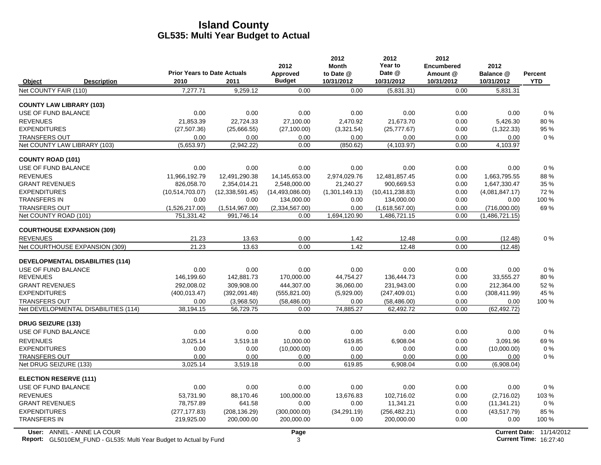|                                         | <b>Prior Years to Date Actuals</b> |                   | 2012<br>Approved   | 2012<br><b>Month</b><br>to Date @ | 2012<br>Year to<br>Date @ | 2012<br><b>Encumbered</b><br>Amount @ | 2012<br>Balance @    | <b>Percent</b> |
|-----------------------------------------|------------------------------------|-------------------|--------------------|-----------------------------------|---------------------------|---------------------------------------|----------------------|----------------|
| Object<br><b>Description</b>            | 2010                               | 2011              | <b>Budget</b>      | 10/31/2012                        | 10/31/2012                | 10/31/2012                            | 10/31/2012           | <b>YTD</b>     |
| Net COUNTY FAIR (110)                   | 7,277.71                           | 9,259.12          | 0.00               | 0.00                              | (5,831.31)                | 0.00                                  | 5,831.31             |                |
| <b>COUNTY LAW LIBRARY (103)</b>         |                                    |                   |                    |                                   |                           |                                       |                      |                |
| USE OF FUND BALANCE                     | 0.00                               | 0.00              | 0.00               | 0.00                              | 0.00                      | 0.00                                  | 0.00                 | 0%             |
| <b>REVENUES</b>                         | 21.853.39                          | 22,724.33         | 27,100.00          | 2,470.92                          | 21,673.70                 | 0.00                                  | 5,426.30             | 80%            |
| <b>EXPENDITURES</b>                     | (27, 507.36)                       | (25,666.55)       | (27, 100.00)       | (3,321.54)                        | (25, 777.67)              | 0.00                                  | (1,322.33)           | 95%            |
| <b>TRANSFERS OUT</b>                    | 0.00                               | 0.00              | 0.00               | 0.00                              | 0.00                      | 0.00                                  | 0.00                 | 0%             |
| Net COUNTY LAW LIBRARY (103)            | (5,653.97)                         | (2,942.22)        | 0.00               | (850.62)                          | (4, 103.97)               | 0.00                                  | 4,103.97             |                |
| <b>COUNTY ROAD (101)</b>                |                                    |                   |                    |                                   |                           |                                       |                      |                |
| USE OF FUND BALANCE                     | 0.00                               | 0.00              | 0.00               | 0.00                              | 0.00                      | 0.00                                  | 0.00                 | $0\%$          |
| <b>REVENUES</b>                         | 11,966,192.79                      | 12,491,290.38     | 14,145,653.00      | 2,974,029.76                      | 12,481,857.45             | 0.00                                  | 1,663,795.55         | 88%            |
| <b>GRANT REVENUES</b>                   | 826,058.70                         | 2,354,014.21      | 2,548,000.00       | 21,240.27                         | 900,669.53                | 0.00                                  | 1,647,330.47         | 35 %           |
| <b>EXPENDITURES</b>                     | (10.514, 703.07)                   | (12, 338, 591.45) | (14, 493, 086, 00) | (1,301,149.13)                    | (10, 411, 238.83)         | 0.00                                  | (4,081,847.17)       | 72 %           |
| <b>TRANSFERS IN</b>                     | 0.00                               | 0.00              | 134,000.00         | 0.00                              | 134,000.00                | 0.00                                  | 0.00                 | 100 %          |
| <b>TRANSFERS OUT</b>                    | (1,526,217.00)                     | (1,514,967.00)    | (2,334,567.00)     | 0.00                              | (1,618,567.00)            | 0.00                                  | (716,000.00)         | 69%            |
| Net COUNTY ROAD (101)                   | 751,331.42                         | 991,746.14        | 0.00               | 1,694,120.90                      | 1,486,721.15              | 0.00                                  | (1,486,721.15)       |                |
| <b>COURTHOUSE EXPANSION (309)</b>       |                                    |                   |                    |                                   |                           |                                       |                      |                |
| <b>REVENUES</b>                         | 21.23                              | 13.63             | 0.00               | 1.42                              | 12.48                     | 0.00                                  | (12.48)              | $0\%$          |
| Net COURTHOUSE EXPANSION (309)          | 21.23                              | 13.63             | 0.00               | 1.42                              | 12.48                     | 0.00                                  | (12.48)              |                |
| <b>DEVELOPMENTAL DISABILITIES (114)</b> |                                    |                   |                    |                                   |                           |                                       |                      |                |
| USE OF FUND BALANCE                     | 0.00                               | 0.00              | 0.00               | 0.00                              | 0.00                      | 0.00                                  | 0.00                 | $0\%$          |
| <b>REVENUES</b>                         | 146,199.60                         | 142,881.73        | 170,000.00         | 44,754.27                         | 136,444.73                | 0.00                                  | 33,555.27            | 80%            |
| <b>GRANT REVENUES</b>                   | 292,008.02                         | 309,908.00        | 444,307.00         | 36,060.00                         | 231,943.00                | 0.00                                  | 212,364.00           | 52 %           |
| <b>EXPENDITURES</b>                     | (400, 013.47)                      | (392,091.48)      | (555, 821.00)      | (5,929.00)                        | (247, 409.01)             | 0.00                                  | (308, 411.99)        | 45 %           |
| <b>TRANSFERS OUT</b>                    | 0.00                               | (3,968.50)        | (58, 486.00)       | 0.00                              | (58, 486.00)              | 0.00                                  | 0.00                 | 100 %          |
| Net DEVELOPMENTAL DISABILITIES (114)    | 38,194.15                          | 56,729.75         | 0.00               | 74,885.27                         | 62,492.72                 | 0.00                                  | (62, 492.72)         |                |
| <b>DRUG SEIZURE (133)</b>               |                                    |                   |                    |                                   |                           |                                       |                      |                |
| USE OF FUND BALANCE                     | 0.00                               | 0.00              | 0.00               | 0.00                              | 0.00                      | 0.00                                  | 0.00                 | 0%             |
| <b>REVENUES</b>                         | 3,025.14                           | 3,519.18          | 10,000.00          | 619.85                            | 6,908.04                  | 0.00                                  | 3,091.96             | 69%            |
| <b>EXPENDITURES</b>                     | 0.00                               | 0.00              | (10,000.00)        | 0.00                              | 0.00                      | 0.00                                  | (10,000.00)          | $0\%$          |
| <b>TRANSFERS OUT</b>                    | 0.00                               | 0.00              | 0.00               | 0.00                              | 0.00                      | 0.00                                  | 0.00                 | 0%             |
| Net DRUG SEIZURE (133)                  | 3,025.14                           | 3,519.18          | 0.00               | 619.85                            | 6,908.04                  | 0.00                                  | (6,908.04)           |                |
| <b>ELECTION RESERVE (111)</b>           |                                    |                   |                    |                                   |                           |                                       |                      |                |
| <b>USE OF FUND BALANCE</b>              | 0.00                               | 0.00              | 0.00               | 0.00                              | 0.00                      | 0.00                                  | 0.00                 | 0%             |
| <b>REVENUES</b>                         | 53,731.90                          | 88,170.46         | 100,000.00         | 13,676.83                         | 102,716.02                | 0.00                                  | (2,716.02)           | 103 %          |
| <b>GRANT REVENUES</b>                   | 78,757.89                          | 641.58            | 0.00               | 0.00                              | 11,341.21                 | 0.00                                  | (11, 341.21)         | $0\%$          |
| <b>EXPENDITURES</b>                     | (277, 177.83)                      | (208, 136.29)     | (300,000.00)       | (34, 291.19)                      | (256, 482.21)             | 0.00                                  | (43,517.79)          | 85 %           |
| <b>TRANSFERS IN</b>                     | 219,925.00                         | 200,000.00        | 200,000.00         | 0.00                              | 200,000.00                | 0.00                                  | 0.00                 | 100 %          |
| User: ANNEL - ANNE LA COUR              |                                    |                   | Page               |                                   |                           |                                       | <b>Current Date:</b> | 11/14/2        |

**Report:** 3 **Current Time:** GL5010EM\_FUND - GL535: Multi Year Budget to Actual by Fund 16:27:40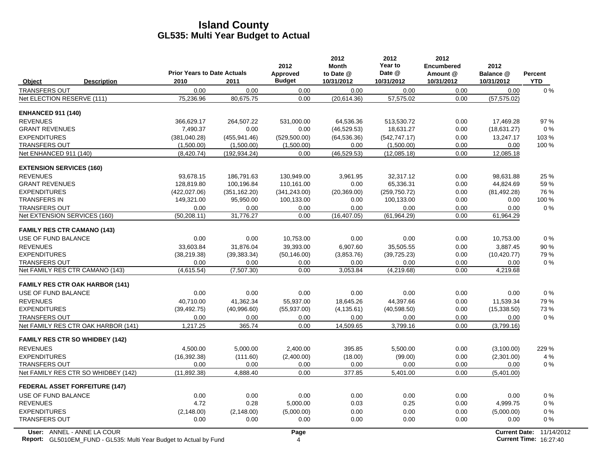|                                 |                                        | <b>Prior Years to Date Actuals</b> |               | 2012<br>Approved | 2012<br><b>Month</b><br>to Date @ | 2012<br>Year to<br>Date @ | 2012<br><b>Encumbered</b><br>Amount @ | 2012<br>Balance @ | Percent               |
|---------------------------------|----------------------------------------|------------------------------------|---------------|------------------|-----------------------------------|---------------------------|---------------------------------------|-------------------|-----------------------|
| Object                          | <b>Description</b>                     | 2010                               | 2011          | <b>Budget</b>    | 10/31/2012                        | 10/31/2012                | 10/31/2012                            | 10/31/2012        | <b>YTD</b>            |
| <b>TRANSFERS OUT</b>            |                                        | 0.00                               | 0.00          | 0.00             | 0.00                              | 0.00                      | 0.00                                  | 0.00              | $0\%$                 |
| Net ELECTION RESERVE (111)      |                                        | 75,236.96                          | 80,675.75     | 0.00             | (20.614.36)                       | 57,575.02                 | 0.00                                  | (57, 575.02)      |                       |
| <b>ENHANCED 911 (140)</b>       |                                        |                                    |               |                  |                                   |                           |                                       |                   |                       |
| <b>REVENUES</b>                 |                                        | 366,629.17                         | 264,507.22    | 531,000.00       | 64,536.36                         | 513,530.72                | 0.00                                  | 17.469.28         | 97 %                  |
| <b>GRANT REVENUES</b>           |                                        | 7,490.37                           | 0.00          | 0.00             | (46, 529.53)                      | 18,631.27                 | 0.00                                  | (18,631.27)       | $0\%$                 |
| <b>EXPENDITURES</b>             |                                        | (381,040.28)                       | (455, 941.46) | (529, 500.00)    | (64, 536.36)                      | (542, 747.17)             | 0.00                                  | 13,247.17         | 103 %                 |
| <b>TRANSFERS OUT</b>            |                                        | (1,500.00)                         | (1,500.00)    | (1,500.00)       | 0.00                              | (1,500.00)                | 0.00                                  | 0.00              | $100\%$               |
| Net ENHANCED 911 (140)          |                                        | (8,420.74)                         | (192, 934.24) | 0.00             | (46, 529.53)                      | (12,085.18)               | 0.00                                  | 12,085.18         |                       |
| <b>EXTENSION SERVICES (160)</b> |                                        |                                    |               |                  |                                   |                           |                                       |                   |                       |
| <b>REVENUES</b>                 |                                        | 93,678.15                          | 186,791.63    | 130,949.00       | 3,961.95                          | 32,317.12                 | 0.00                                  | 98,631.88         | 25 %                  |
| <b>GRANT REVENUES</b>           |                                        | 128,819.80                         | 100,196.84    | 110,161.00       | 0.00                              | 65,336.31                 | 0.00                                  | 44,824.69         | 59 %                  |
| <b>EXPENDITURES</b>             |                                        | (422, 027.06)                      | (351, 162.20) | (341, 243.00)    | (20, 369.00)                      | (259, 750.72)             | 0.00                                  | (81, 492.28)      | 76 %                  |
| <b>TRANSFERS IN</b>             |                                        | 149,321.00                         | 95,950.00     | 100,133.00       | 0.00                              | 100,133.00                | 0.00                                  | 0.00              | 100 %                 |
| <b>TRANSFERS OUT</b>            |                                        | 0.00                               | 0.00          | 0.00             | 0.00                              | 0.00                      | 0.00                                  | 0.00              | 0%                    |
|                                 | Net EXTENSION SERVICES (160)           | (50, 208.11)                       | 31,776.27     | 0.00             | (16, 407.05)                      | (61, 964.29)              | 0.00                                  | 61,964.29         |                       |
|                                 | <b>FAMILY RES CTR CAMANO (143)</b>     |                                    |               |                  |                                   |                           |                                       |                   |                       |
| USE OF FUND BALANCE             |                                        | 0.00                               | 0.00          | 10,753.00        | 0.00                              | 0.00                      | 0.00                                  | 10,753.00         | $0\%$                 |
| <b>REVENUES</b>                 |                                        | 33,603.84                          | 31,876.04     | 39,393.00        | 6,907.60                          | 35,505.55                 | 0.00                                  | 3,887.45          | 90%                   |
| <b>EXPENDITURES</b>             |                                        | (38, 219.38)                       | (39, 383.34)  | (50, 146.00)     | (3,853.76)                        | (39, 725.23)              | 0.00                                  | (10, 420.77)      | 79 %                  |
| <b>TRANSFERS OUT</b>            |                                        | 0.00                               | 0.00          | 0.00             | 0.00                              | 0.00                      | 0.00                                  | 0.00              | $0\%$                 |
|                                 | Net FAMILY RES CTR CAMANO (143)        | (4,615.54)                         | (7,507.30)    | 0.00             | 3,053.84                          | (4,219.68)                | 0.00                                  | 4,219.68          |                       |
|                                 | <b>FAMILY RES CTR OAK HARBOR (141)</b> |                                    |               |                  |                                   |                           |                                       |                   |                       |
| USE OF FUND BALANCE             |                                        | 0.00                               | 0.00          | 0.00             | 0.00                              | 0.00                      | 0.00                                  | 0.00              | $0\%$                 |
| <b>REVENUES</b>                 |                                        | 40.710.00                          | 41.362.34     | 55.937.00        | 18.645.26                         | 44.397.66                 | 0.00                                  | 11.539.34         | 79%                   |
| <b>EXPENDITURES</b>             |                                        | (39, 492.75)                       | (40,996.60)   | (55, 937.00)     | (4, 135.61)                       | (40, 598.50)              | 0.00                                  | (15,338.50)       | 73%                   |
| <b>TRANSFERS OUT</b>            |                                        | 0.00                               | 0.00          | 0.00             | 0.00                              | 0.00                      | 0.00                                  | 0.00              | $0\%$                 |
|                                 | Net FAMILY RES CTR OAK HARBOR (141)    | 1,217.25                           | 365.74        | 0.00             | 14,509.65                         | 3,799.16                  | 0.00                                  | (3,799.16)        |                       |
|                                 | <b>FAMILY RES CTR SO WHIDBEY (142)</b> |                                    |               |                  |                                   |                           |                                       |                   |                       |
| <b>REVENUES</b>                 |                                        | 4,500.00                           | 5,000.00      | 2,400.00         | 395.85                            | 5,500.00                  | 0.00                                  | (3,100.00)        | 229 %                 |
| <b>EXPENDITURES</b>             |                                        | (16, 392.38)                       | (111.60)      | (2,400.00)       | (18.00)                           | (99.00)                   | 0.00                                  | (2,301.00)        | 4 %                   |
| <b>TRANSFERS OUT</b>            |                                        | 0.00                               | 0.00          | 0.00             | 0.00                              | 0.00                      | 0.00                                  | 0.00              | $0\%$                 |
|                                 | Net FAMILY RES CTR SO WHIDBEY (142)    | (11, 892.38)                       | 4,888.40      | 0.00             | 377.85                            | 5,401.00                  | 0.00                                  | (5,401.00)        |                       |
|                                 | <b>FEDERAL ASSET FORFEITURE (147)</b>  |                                    |               |                  |                                   |                           |                                       |                   |                       |
| USE OF FUND BALANCE             |                                        | 0.00                               | 0.00          | 0.00             | 0.00                              | 0.00                      | 0.00                                  | 0.00              | $0\%$                 |
| <b>REVENUES</b>                 |                                        | 4.72                               | 0.28          | 5,000.00         | 0.03                              | 0.25                      | 0.00                                  | 4,999.75          | $0\%$                 |
| <b>EXPENDITURES</b>             |                                        | (2, 148.00)                        | (2, 148.00)   | (5,000.00)       | 0.00                              | 0.00                      | 0.00                                  | (5,000.00)        | $0\%$                 |
| <b>TRANSFERS OUT</b>            |                                        | 0.00                               | 0.00          | 0.00             | 0.00                              | 0.00                      | 0.00                                  | 0.00              | $0\%$                 |
|                                 | User: ANNEL - ANNE LA COUR             |                                    |               | Page             |                                   |                           |                                       |                   | Current Date: 11/14/2 |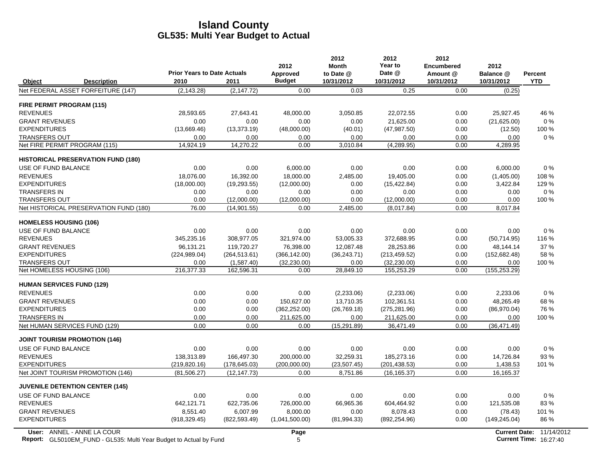|                                  |                                           |                                    |               | 2012           | 2012<br><b>Month</b> | 2012<br>Year to | 2012<br><b>Encumbered</b> | 2012          |                |
|----------------------------------|-------------------------------------------|------------------------------------|---------------|----------------|----------------------|-----------------|---------------------------|---------------|----------------|
|                                  |                                           | <b>Prior Years to Date Actuals</b> |               | Approved       | to Date @            | Date @          | Amount @                  | Balance @     | <b>Percent</b> |
| Object                           | <b>Description</b>                        | 2010                               | 2011          | <b>Budget</b>  | 10/31/2012           | 10/31/2012      | 10/31/2012                | 10/31/2012    | <b>YTD</b>     |
|                                  | Net FEDERAL ASSET FORFEITURE (147)        | (2, 143.28)                        | (2, 147.72)   | 0.00           | 0.03                 | 0.25            | 0.00                      | (0.25)        |                |
| FIRE PERMIT PROGRAM (115)        |                                           |                                    |               |                |                      |                 |                           |               |                |
| <b>REVENUES</b>                  |                                           | 28,593.65                          | 27,643.41     | 48,000.00      | 3,050.85             | 22,072.55       | 0.00                      | 25,927.45     | 46 %           |
| <b>GRANT REVENUES</b>            |                                           | 0.00                               | 0.00          | 0.00           | 0.00                 | 21,625.00       | 0.00                      | (21,625.00)   | $0\%$          |
| <b>EXPENDITURES</b>              |                                           | (13,669.46)                        | (13, 373.19)  | (48,000.00)    | (40.01)              | (47, 987.50)    | 0.00                      | (12.50)       | 100 %          |
| <b>TRANSFERS OUT</b>             |                                           | 0.00                               | 0.00          | 0.00           | 0.00                 | 0.00            | 0.00                      | 0.00          | 0%             |
| Net FIRE PERMIT PROGRAM (115)    |                                           | 14,924.19                          | 14,270.22     | 0.00           | 3,010.84             | (4,289.95)      | 0.00                      | 4,289.95      |                |
|                                  | <b>HISTORICAL PRESERVATION FUND (180)</b> |                                    |               |                |                      |                 |                           |               |                |
| USE OF FUND BALANCE              |                                           | 0.00                               | 0.00          | 6,000.00       | 0.00                 | 0.00            | 0.00                      | 6,000.00      | 0%             |
| <b>REVENUES</b>                  |                                           | 18.076.00                          | 16.392.00     | 18.000.00      | 2,485.00             | 19.405.00       | 0.00                      | (1,405.00)    | 108 %          |
| <b>EXPENDITURES</b>              |                                           | (18,000.00)                        | (19, 293.55)  | (12,000.00)    | 0.00                 | (15, 422.84)    | 0.00                      | 3,422.84      | 129 %          |
| <b>TRANSFERS IN</b>              |                                           | 0.00                               | 0.00          | 0.00           | 0.00                 | 0.00            | 0.00                      | 0.00          | $0\%$          |
| <b>TRANSFERS OUT</b>             |                                           | 0.00                               | (12,000.00)   | (12,000.00)    | 0.00                 | (12,000.00)     | 0.00                      | 0.00          | 100 %          |
|                                  | Net HISTORICAL PRESERVATION FUND (180)    | 76.00                              | (14,901.55)   | 0.00           | 2.485.00             | (8.017.84)      | 0.00                      | 8,017.84      |                |
| <b>HOMELESS HOUSING (106)</b>    |                                           |                                    |               |                |                      |                 |                           |               |                |
| USE OF FUND BALANCE              |                                           | 0.00                               | 0.00          | 0.00           | 0.00                 | 0.00            | 0.00                      | 0.00          | 0%             |
| <b>REVENUES</b>                  |                                           | 345.235.16                         | 308,977.05    | 321,974.00     | 53,005.33            | 372,688.95      | 0.00                      | (50, 714.95)  | 116 %          |
| <b>GRANT REVENUES</b>            |                                           | 96,131.21                          | 119,720.27    | 76,398.00      | 12,087.48            | 28,253.86       | 0.00                      | 48,144.14     | 37 %           |
| <b>EXPENDITURES</b>              |                                           | (224, 989.04)                      | (264, 513.61) | (366, 142.00)  | (36, 243.71)         | (213, 459.52)   | 0.00                      | (152, 682.48) | 58 %           |
| <b>TRANSFERS OUT</b>             |                                           | 0.00                               | (1,587.40)    | (32, 230.00)   | 0.00                 | (32, 230.00)    | 0.00                      | 0.00          | 100 %          |
| Net HOMELESS HOUSING (106)       |                                           | 216,377.33                         | 162,596.31    | 0.00           | 28,849.10            | 155,253.29      | 0.00                      | (155, 253.29) |                |
| <b>HUMAN SERVICES FUND (129)</b> |                                           |                                    |               |                |                      |                 |                           |               |                |
| <b>REVENUES</b>                  |                                           | 0.00                               | 0.00          | 0.00           | (2,233.06)           | (2,233.06)      | 0.00                      | 2,233.06      | 0%             |
| <b>GRANT REVENUES</b>            |                                           | 0.00                               | 0.00          | 150,627.00     | 13,710.35            | 102,361.51      | 0.00                      | 48,265.49     | 68%            |
| <b>EXPENDITURES</b>              |                                           | 0.00                               | 0.00          | (362, 252.00)  | (26, 769.18)         | (275, 281.96)   | 0.00                      | (86,970.04)   | 76 %           |
| <b>TRANSFERS IN</b>              |                                           | 0.00                               | 0.00          | 211,625.00     | 0.00                 | 211,625.00      | 0.00                      | 0.00          | 100 %          |
| Net HUMAN SERVICES FUND (129)    |                                           | 0.00                               | 0.00          | 0.00           | (15, 291.89)         | 36,471.49       | 0.00                      | (36, 471.49)  |                |
|                                  | <b>JOINT TOURISM PROMOTION (146)</b>      |                                    |               |                |                      |                 |                           |               |                |
| <b>USE OF FUND BALANCE</b>       |                                           | 0.00                               | 0.00          | 0.00           | 0.00                 | 0.00            | 0.00                      | 0.00          | 0%             |
| <b>REVENUES</b>                  |                                           | 138,313.89                         | 166,497.30    | 200,000.00     | 32,259.31            | 185,273.16      | 0.00                      | 14,726.84     | 93 %           |
| <b>EXPENDITURES</b>              |                                           | (219, 820.16)                      | (178, 645.03) | (200,000.00)   | (23, 507.45)         | (201, 438.53)   | 0.00                      | 1,438.53      | 101 %          |
|                                  | Net JOINT TOURISM PROMOTION (146)         | (81,506.27)                        | (12, 147.73)  | 0.00           | 8,751.86             | (16, 165.37)    | 0.00                      | 16,165.37     |                |
|                                  | <b>JUVENILE DETENTION CENTER (145)</b>    |                                    |               |                |                      |                 |                           |               |                |
| USE OF FUND BALANCE              |                                           | 0.00                               | 0.00          | 0.00           | 0.00                 | 0.00            | 0.00                      | 0.00          | $0\%$          |
| <b>REVENUES</b>                  |                                           | 642,121.71                         | 622,735.06    | 726,000.00     | 66,965.36            | 604,464.92      | 0.00                      | 121,535.08    | 83%            |
| <b>GRANT REVENUES</b>            |                                           | 8.551.40                           | 6.007.99      | 8.000.00       | 0.00                 | 8.078.43        | 0.00                      | (78.43)       | 101 %          |
| <b>EXPENDITURES</b>              |                                           | (918, 329.45)                      | (822, 593.49) | (1,041,500.00) | (81,994.33)          | (892, 254.96)   | 0.00                      | (149, 245.04) | 86 %           |
|                                  |                                           |                                    |               |                |                      |                 |                           |               |                |

**Report:** 5 **Current Time:** GL5010EM\_FUND - GL535: Multi Year Budget to Actual by Fund 16:27:40**User:** ANNEL - ANNE LA COUR

 $\overline{\phantom{a}}$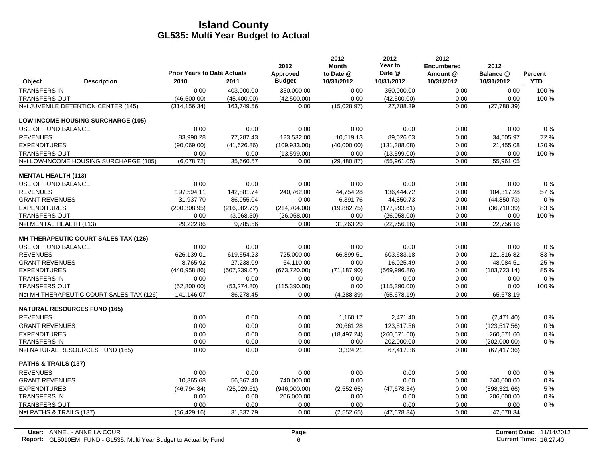|                            |                                           | <b>Prior Years to Date Actuals</b> |               | 2012<br>Approved | 2012<br><b>Month</b><br>to Date @ | 2012<br>Year to<br>Date @ | 2012<br><b>Encumbered</b><br>Amount @ | 2012<br>Balance @ | Percent    |
|----------------------------|-------------------------------------------|------------------------------------|---------------|------------------|-----------------------------------|---------------------------|---------------------------------------|-------------------|------------|
| Object                     | <b>Description</b>                        | 2010                               | 2011          | <b>Budget</b>    | 10/31/2012                        | 10/31/2012                | 10/31/2012                            | 10/31/2012        | <b>YTD</b> |
| <b>TRANSFERS IN</b>        |                                           | 0.00                               | 403,000.00    | 350,000.00       | 0.00                              | 350,000.00                | 0.00                                  | 0.00              | 100 %      |
| <b>TRANSFERS OUT</b>       |                                           | (46,500.00)                        | (45, 400.00)  | (42,500.00)      | 0.00                              | (42,500.00)               | 0.00                                  | 0.00              | 100 %      |
|                            | Net JUVENILE DETENTION CENTER (145)       | (314, 156.34)                      | 163,749.56    | 0.00             | (15,028.97)                       | 27,788.39                 | 0.00                                  | (27, 788.39)      |            |
|                            | <b>LOW-INCOME HOUSING SURCHARGE (105)</b> |                                    |               |                  |                                   |                           |                                       |                   |            |
| USE OF FUND BALANCE        |                                           | 0.00                               | 0.00          | 0.00             | 0.00                              | 0.00                      | 0.00                                  | 0.00              | 0%         |
| <b>REVENUES</b>            |                                           | 83.990.28                          | 77,287.43     | 123,532.00       | 10,519.13                         | 89.026.03                 | 0.00                                  | 34,505.97         | 72%        |
| <b>EXPENDITURES</b>        |                                           | (90,069.00)                        | (41,626.86)   | (109, 933.00)    | (40,000.00)                       | (131, 388.08)             | 0.00                                  | 21,455.08         | 120 %      |
| <b>TRANSFERS OUT</b>       |                                           | 0.00                               | 0.00          | (13,599.00)      | 0.00                              | (13,599.00)               | 0.00                                  | 0.00              | 100 %      |
|                            | Net LOW-INCOME HOUSING SURCHARGE (105)    | (6,078.72)                         | 35,660.57     | 0.00             | (29, 480.87)                      | (55,961.05)               | 0.00                                  | 55,961.05         |            |
| <b>MENTAL HEALTH (113)</b> |                                           |                                    |               |                  |                                   |                           |                                       |                   |            |
| USE OF FUND BALANCE        |                                           | 0.00                               | 0.00          | 0.00             | 0.00                              | 0.00                      | 0.00                                  | 0.00              | 0%         |
| <b>REVENUES</b>            |                                           | 197,594.11                         | 142,881.74    | 240,762.00       | 44,754.28                         | 136,444.72                | 0.00                                  | 104,317.28        | 57 %       |
| <b>GRANT REVENUES</b>      |                                           | 31,937.70                          | 86,955.04     | 0.00             | 6,391.76                          | 44,850.73                 | 0.00                                  | (44, 850.73)      | $0\%$      |
| <b>EXPENDITURES</b>        |                                           | (200, 308.95)                      | (216,082.72)  | (214, 704.00)    | (19,882.75)                       | (177, 993.61)             | 0.00                                  | (36,710.39)       | 83%        |
| TRANSFERS OUT              |                                           | 0.00                               | (3,968.50)    | (26,058.00)      | 0.00                              | (26,058.00)               | 0.00                                  | 0.00              | 100 %      |
| Net MENTAL HEALTH (113)    |                                           | 29,222.86                          | 9,785.56      | 0.00             | 31,263.29                         | (22,756.16)               | 0.00                                  | 22,756.16         |            |
|                            | MH THERAPEUTIC COURT SALES TAX (126)      |                                    |               |                  |                                   |                           |                                       |                   |            |
| USE OF FUND BALANCE        |                                           | 0.00                               | 0.00          | 0.00             | 0.00                              | 0.00                      | 0.00                                  | 0.00              | $0\%$      |
| <b>REVENUES</b>            |                                           | 626,139.01                         | 619,554.23    | 725,000.00       | 66,899.51                         | 603,683.18                | 0.00                                  | 121,316.82        | 83%        |
| <b>GRANT REVENUES</b>      |                                           | 8,765.92                           | 27,238.09     | 64,110.00        | 0.00                              | 16,025.49                 | 0.00                                  | 48,084.51         | 25 %       |
| <b>EXPENDITURES</b>        |                                           | (440.958.86)                       | (507, 239.07) | (673, 720.00)    | (71, 187.90)                      | (569, 996.86)             | 0.00                                  | (103, 723, 14)    | 85 %       |
| <b>TRANSFERS IN</b>        |                                           | 0.00                               | 0.00          | 0.00             | 0.00                              | 0.00                      | 0.00                                  | 0.00              | 0%         |
| <b>TRANSFERS OUT</b>       |                                           | (52,800.00)                        | (53, 274.80)  | (115, 390.00)    | 0.00                              | (115, 390.00)             | 0.00                                  | 0.00              | 100 %      |
|                            | Net MH THERAPEUTIC COURT SALES TAX (126)  | 141,146.07                         | 86,278.45     | 0.00             | (4, 288.39)                       | (65, 678.19)              | 0.00                                  | 65,678.19         |            |
|                            | <b>NATURAL RESOURCES FUND (165)</b>       |                                    |               |                  |                                   |                           |                                       |                   |            |
| <b>REVENUES</b>            |                                           | 0.00                               | 0.00          | 0.00             | 1,160.17                          | 2.471.40                  | 0.00                                  | (2,471.40)        | 0%         |
| <b>GRANT REVENUES</b>      |                                           | 0.00                               | 0.00          | 0.00             | 20,661.28                         | 123,517.56                | 0.00                                  | (123, 517.56)     | 0%         |
| <b>EXPENDITURES</b>        |                                           | 0.00                               | 0.00          | 0.00             | (18, 497.24)                      | (260, 571.60)             | 0.00                                  | 260,571.60        | $0\%$      |
| <b>TRANSFERS IN</b>        |                                           | 0.00                               | 0.00          | 0.00             | 0.00                              | 202,000.00                | 0.00                                  | (202,000.00)      | $0\%$      |
|                            | Net NATURAL RESOURCES FUND (165)          | 0.00                               | 0.00          | 0.00             | 3,324.21                          | 67,417.36                 | 0.00                                  | (67, 417.36)      |            |
| PATHS & TRAILS (137)       |                                           |                                    |               |                  |                                   |                           |                                       |                   |            |
| <b>REVENUES</b>            |                                           | 0.00                               | 0.00          | 0.00             | 0.00                              | 0.00                      | 0.00                                  | 0.00              | 0%         |
| <b>GRANT REVENUES</b>      |                                           | 10,365.68                          | 56,367.40     | 740,000.00       | 0.00                              | 0.00                      | 0.00                                  | 740,000.00        | $0\%$      |
| <b>EXPENDITURES</b>        |                                           | (46, 794.84)                       | (25,029.61)   | (946,000.00)     | (2,552.65)                        | (47, 678.34)              | 0.00                                  | (898, 321.66)     | 5 %        |
| <b>TRANSFERS IN</b>        |                                           | 0.00                               | 0.00          | 206,000.00       | 0.00                              | 0.00                      | 0.00                                  | 206,000.00        | $0\%$      |
| <b>TRANSFERS OUT</b>       |                                           | 0.00                               | 0.00          | 0.00             | 0.00                              | 0.00                      | 0.00                                  | 0.00              | $0\%$      |
| Net PATHS & TRAILS (137)   |                                           | (36, 429.16)                       | 31,337.79     | 0.00             | (2,552.65)                        | (47, 678.34)              | 0.00                                  | 47,678.34         |            |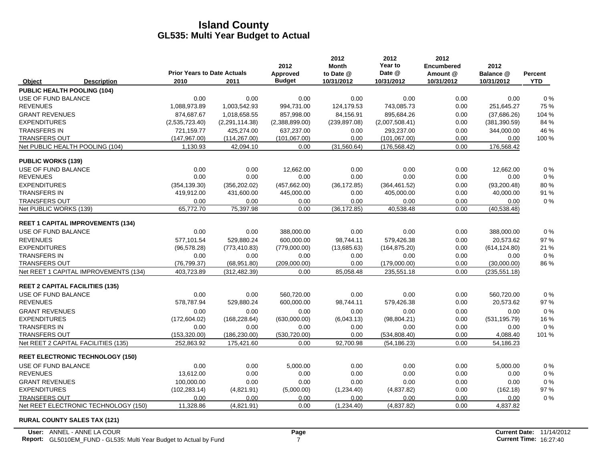|                            |                                          | <b>Prior Years to Date Actuals</b> |                | 2012                      | 2012<br><b>Month</b>    | 2012<br>Year to<br>Date @ | 2012<br><b>Encumbered</b> | 2012                    |                       |
|----------------------------|------------------------------------------|------------------------------------|----------------|---------------------------|-------------------------|---------------------------|---------------------------|-------------------------|-----------------------|
| Object                     | <b>Description</b>                       | 2010                               | 2011           | Approved<br><b>Budget</b> | to Date @<br>10/31/2012 | 10/31/2012                | Amount @<br>10/31/2012    | Balance @<br>10/31/2012 | Percent<br><b>YTD</b> |
|                            | <b>PUBLIC HEALTH POOLING (104)</b>       |                                    |                |                           |                         |                           |                           |                         |                       |
| USE OF FUND BALANCE        |                                          | 0.00                               | 0.00           | 0.00                      | 0.00                    | 0.00                      | 0.00                      | 0.00                    | $0\%$                 |
| <b>REVENUES</b>            |                                          | 1,088,973.89                       | 1,003,542.93   | 994,731.00                | 124,179.53              | 743,085.73                | 0.00                      | 251,645.27              | 75 %                  |
| <b>GRANT REVENUES</b>      |                                          | 874.687.67                         | 1.018.658.55   | 857.998.00                | 84,156.91               | 895.684.26                | 0.00                      | (37,686.26)             | 104 %                 |
| <b>EXPENDITURES</b>        |                                          | (2,535,723.40)                     | (2,291,114.38) | (2,388,899.00)            | (239, 897.08)           | (2,007,508.41)            | 0.00                      | (381, 390.59)           | 84 %                  |
| <b>TRANSFERS IN</b>        |                                          | 721,159.77                         | 425,274.00     | 637,237.00                | 0.00                    | 293,237.00                | 0.00                      | 344,000.00              | 46 %                  |
| <b>TRANSFERS OUT</b>       |                                          | (147, 967.00)                      | (114, 267.00)  | (101, 067.00)             | 0.00                    | (101, 067.00)             | 0.00                      | 0.00                    | 100 %                 |
|                            | Net PUBLIC HEALTH POOLING (104)          | 1,130.93                           | 42,094.10      | 0.00                      | (31, 560.64)            | (176, 568.42)             | 0.00                      | 176,568.42              |                       |
| <b>PUBLIC WORKS (139)</b>  |                                          |                                    |                |                           |                         |                           |                           |                         |                       |
| <b>USE OF FUND BALANCE</b> |                                          | 0.00                               | 0.00           | 12,662.00                 | 0.00                    | 0.00                      | 0.00                      | 12,662.00               | 0%                    |
| <b>REVENUES</b>            |                                          | 0.00                               | 0.00           | 0.00                      | 0.00                    | 0.00                      | 0.00                      | 0.00                    | $0\%$                 |
| <b>EXPENDITURES</b>        |                                          | (354, 139.30)                      | (356, 202.02)  | (457, 662.00)             | (36, 172.85)            | (364, 461.52)             | 0.00                      | (93,200.48)             | 80%                   |
| <b>TRANSFERS IN</b>        |                                          | 419,912.00                         | 431,600.00     | 445,000.00                | 0.00                    | 405,000.00                | 0.00                      | 40,000.00               | 91 %                  |
| <b>TRANSFERS OUT</b>       |                                          | 0.00                               | 0.00           | 0.00                      | 0.00                    | 0.00                      | 0.00                      | 0.00                    | $0\%$                 |
| Net PUBLIC WORKS (139)     |                                          | 65,772.70                          | 75,397.98      | 0.00                      | (36, 172.85)            | 40,538.48                 | 0.00                      | (40, 538.48)            |                       |
|                            | <b>REET 1 CAPITAL IMPROVEMENTS (134)</b> |                                    |                |                           |                         |                           |                           |                         |                       |
| USE OF FUND BALANCE        |                                          | 0.00                               | 0.00           | 388,000.00                | 0.00                    | 0.00                      | 0.00                      | 388,000.00              | $0\%$                 |
| <b>REVENUES</b>            |                                          | 577,101.54                         | 529,880.24     | 600,000.00                | 98,744.11               | 579,426.38                | 0.00                      | 20,573.62               | 97%                   |
| <b>EXPENDITURES</b>        |                                          | (96, 578.28)                       | (773, 410.83)  | (779,000.00)              | (13,685.63)             | (164, 875.20)             | 0.00                      | (614, 124.80)           | 21 %                  |
| <b>TRANSFERS IN</b>        |                                          | 0.00                               | 0.00           | 0.00                      | 0.00                    | 0.00                      | 0.00                      | 0.00                    | 0%                    |
| <b>TRANSFERS OUT</b>       |                                          | (76, 799.37)                       | (68,951.80)    | (209,000.00)              | 0.00                    | (179,000.00)              | 0.00                      | (30,000.00)             | 86 %                  |
|                            | Net REET 1 CAPITAL IMPROVEMENTS (134)    | 403,723.89                         | (312, 482.39)  | 0.00                      | 85,058.48               | 235,551.18                | 0.00                      | (235, 551.18)           |                       |
|                            | <b>REET 2 CAPITAL FACILITIES (135)</b>   |                                    |                |                           |                         |                           |                           |                         |                       |
| USE OF FUND BALANCE        |                                          | 0.00                               | 0.00           | 560,720.00                | 0.00                    | 0.00                      | 0.00                      | 560,720.00              | 0%                    |
| <b>REVENUES</b>            |                                          | 578,787.94                         | 529,880.24     | 600,000.00                | 98,744.11               | 579,426.38                | 0.00                      | 20,573.62               | 97 %                  |
| <b>GRANT REVENUES</b>      |                                          | 0.00                               | 0.00           | 0.00                      | 0.00                    | 0.00                      | 0.00                      | 0.00                    | 0%                    |
| <b>EXPENDITURES</b>        |                                          | (172, 604.02)                      | (168, 228.64)  | (630,000.00)              | (6,043.13)              | (98, 804.21)              | 0.00                      | (531, 195.79)           | 16 %                  |
| <b>TRANSFERS IN</b>        |                                          | 0.00                               | 0.00           | 0.00                      | 0.00                    | 0.00                      | 0.00                      | 0.00                    | 0%                    |
| <b>TRANSFERS OUT</b>       |                                          | (153, 320.00)                      | (186, 230.00)  | (530, 720.00)             | 0.00                    | (534,808.40)              | 0.00                      | 4,088.40                | 101 %                 |
|                            | Net REET 2 CAPITAL FACILITIES (135)      | 252,863.92                         | 175,421.60     | 0.00                      | 92,700.98               | (54, 186.23)              | 0.00                      | 54,186.23               |                       |
|                            | <b>REET ELECTRONIC TECHNOLOGY (150)</b>  |                                    |                |                           |                         |                           |                           |                         |                       |
| USE OF FUND BALANCE        |                                          | 0.00                               | 0.00           | 5,000.00                  | 0.00                    | 0.00                      | 0.00                      | 5,000.00                | 0%                    |
| <b>REVENUES</b>            |                                          | 13,612.00                          | 0.00           | 0.00                      | 0.00                    | 0.00                      | 0.00                      | 0.00                    | 0%                    |
| <b>GRANT REVENUES</b>      |                                          | 100,000.00                         | 0.00           | 0.00                      | 0.00                    | 0.00                      | 0.00                      | 0.00                    | 0%                    |
| <b>EXPENDITURES</b>        |                                          | (102, 283.14)                      | (4,821.91)     | (5,000.00)                | (1,234.40)              | (4,837.82)                | 0.00                      | (162.18)                | 97 %                  |
| <b>TRANSFERS OUT</b>       |                                          | 0.00                               | 0.00           | 0.00                      | 0.00                    | 0.00                      | 0.00                      | 0.00                    | 0%                    |
|                            | Net REET ELECTRONIC TECHNOLOGY (150)     | 11,328.86                          | (4,821.91)     | 0.00                      | (1,234.40)              | (4,837.82)                | 0.00                      | 4,837.82                |                       |

#### **RURAL COUNTY SALES TAX (121)**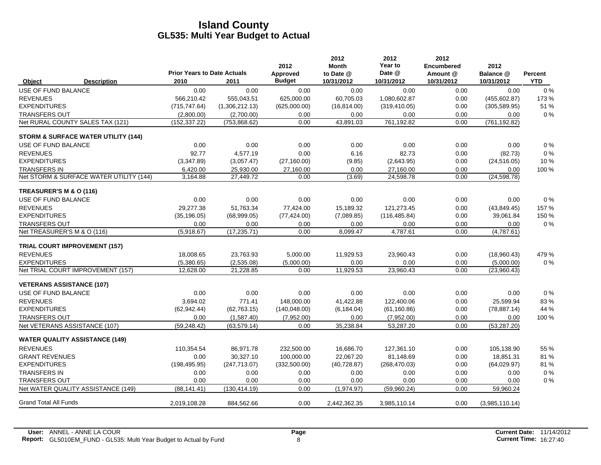|                              |                                                | <b>Prior Years to Date Actuals</b> |                | 2012                      | 2012<br>Month           | 2012<br>Year to<br>Date @ | 2012<br><b>Encumbered</b> | 2012                    |                              |
|------------------------------|------------------------------------------------|------------------------------------|----------------|---------------------------|-------------------------|---------------------------|---------------------------|-------------------------|------------------------------|
| <b>Object</b>                | <b>Description</b>                             | 2010                               | 2011           | Approved<br><b>Budget</b> | to Date @<br>10/31/2012 | 10/31/2012                | Amount @<br>10/31/2012    | Balance @<br>10/31/2012 | <b>Percent</b><br><b>YTD</b> |
| USE OF FUND BALANCE          |                                                | 0.00                               | 0.00           | 0.00                      | 0.00                    | 0.00                      | 0.00                      | 0.00                    | $0\%$                        |
| <b>REVENUES</b>              |                                                | 566,210.42                         | 555,043.51     | 625,000.00                | 60,705.03               | 1,080,602.87              | 0.00                      | (455,602.87)            | 173%                         |
| <b>EXPENDITURES</b>          |                                                | (715, 747.64)                      | (1,306,212.13) | (625,000.00)              | (16, 814.00)            | (319, 410.05)             | 0.00                      | (305, 589.95)           | 51 %                         |
| <b>TRANSFERS OUT</b>         |                                                | (2,800.00)                         | (2,700.00)     | 0.00                      | 0.00                    | 0.00                      | 0.00                      | 0.00                    | 0%                           |
|                              | Net RURAL COUNTY SALES TAX (121)               | (152, 337.22)                      | (753,868.62)   | 0.00                      | 43,891.03               | 761,192.82                | 0.00                      | (761, 192.82)           |                              |
|                              | <b>STORM &amp; SURFACE WATER UTILITY (144)</b> |                                    |                |                           |                         |                           |                           |                         |                              |
| USE OF FUND BALANCE          |                                                | 0.00                               | 0.00           | 0.00                      | 0.00                    | 0.00                      | 0.00                      | 0.00                    | 0%                           |
| <b>REVENUES</b>              |                                                | 92.77                              | 4,577.19       | 0.00                      | 6.16                    | 82.73                     | 0.00                      | (82.73)                 | $0\%$                        |
| <b>EXPENDITURES</b>          |                                                | (3,347.89)                         | (3,057.47)     | (27, 160.00)              | (9.85)                  | (2,643.95)                | 0.00                      | (24, 516.05)            | 10%                          |
| <b>TRANSFERS IN</b>          |                                                | 6,420.00                           | 25,930.00      | 27,160.00                 | 0.00                    | 27,160.00                 | 0.00                      | 0.00                    | 100 %                        |
|                              | Net STORM & SURFACE WATER UTILITY (144)        | 3,164.88                           | 27,449.72      | 0.00                      | (3.69)                  | 24,598.78                 | 0.00                      | (24, 598.78)            |                              |
| TREASURER'S M & O (116)      |                                                |                                    |                |                           |                         |                           |                           |                         |                              |
| USE OF FUND BALANCE          |                                                | 0.00                               | 0.00           | 0.00                      | 0.00                    | 0.00                      | 0.00                      | 0.00                    | 0%                           |
| <b>REVENUES</b>              |                                                | 29,277.38                          | 51,763.34      | 77,424.00                 | 15,189.32               | 121,273.45                | 0.00                      | (43,849.45)             | 157 %                        |
| <b>EXPENDITURES</b>          |                                                | (35, 196.05)                       | (68,999.05)    | (77, 424.00)              | (7,089.85)              | (116, 485.84)             | 0.00                      | 39,061.84               | 150 %                        |
| <b>TRANSFERS OUT</b>         |                                                | 0.00                               | 0.00           | 0.00                      | 0.00                    | 0.00                      | 0.00                      | 0.00                    | 0%                           |
| Net TREASURER'S M & O (116)  |                                                | (5,918.67)                         | (17, 235.71)   | 0.00                      | 8,099.47                | 4,787.61                  | 0.00                      | (4,787.61)              |                              |
|                              | <b>TRIAL COURT IMPROVEMENT (157)</b>           |                                    |                |                           |                         |                           |                           |                         |                              |
| <b>REVENUES</b>              |                                                | 18,008.65                          | 23,763.93      | 5,000.00                  | 11,929.53               | 23,960.43                 | 0.00                      | (18,960.43)             | 479 %                        |
| <b>EXPENDITURES</b>          |                                                | (5,380.65)                         | (2,535.08)     | (5,000.00)                | 0.00                    | 0.00                      | 0.00                      | (5,000.00)              | 0%                           |
|                              | Net TRIAL COURT IMPROVEMENT (157)              | 12,628.00                          | 21,228.85      | 0.00                      | 11,929.53               | 23,960.43                 | 0.00                      | (23,960.43)             |                              |
|                              | <b>VETERANS ASSISTANCE (107)</b>               |                                    |                |                           |                         |                           |                           |                         |                              |
| USE OF FUND BALANCE          |                                                | 0.00                               | 0.00           | 0.00                      | 0.00                    | 0.00                      | 0.00                      | 0.00                    | 0%                           |
| <b>REVENUES</b>              |                                                | 3.694.02                           | 771.41         | 148,000.00                | 41,422.88               | 122,400.06                | 0.00                      | 25,599.94               | 83%                          |
| <b>EXPENDITURES</b>          |                                                | (62, 942.44)                       | (62, 763.15)   | (140, 048.00)             | (6, 184.04)             | (61, 160.86)              | 0.00                      | (78, 887.14)            | 44 %                         |
| <b>TRANSFERS OUT</b>         |                                                | 0.00                               | (1,587.40)     | (7,952.00)                | 0.00                    | (7,952.00)                | 0.00                      | 0.00                    | 100 %                        |
|                              | Net VETERANS ASSISTANCE (107)                  | (59, 248.42)                       | (63, 579.14)   | 0.00                      | 35,238.84               | 53,287.20                 | 0.00                      | (53, 287.20)            |                              |
|                              | <b>WATER QUALITY ASSISTANCE (149)</b>          |                                    |                |                           |                         |                           |                           |                         |                              |
| <b>REVENUES</b>              |                                                | 110,354.54                         | 86,971.78      | 232,500.00                | 16,686.70               | 127,361.10                | 0.00                      | 105,138.90              | 55 %                         |
| <b>GRANT REVENUES</b>        |                                                | 0.00                               | 30,327.10      | 100,000.00                | 22,067.20               | 81,148.69                 | 0.00                      | 18,851.31               | 81 %                         |
| <b>EXPENDITURES</b>          |                                                | (198, 495.95)                      | (247, 713.07)  | (332, 500.00)             | (40, 728.87)            | (268, 470.03)             | 0.00                      | (64,029.97)             | 81%                          |
| <b>TRANSFERS IN</b>          |                                                | 0.00                               | 0.00           | 0.00                      | 0.00                    | 0.00                      | 0.00                      | 0.00                    | 0%                           |
| <b>TRANSFERS OUT</b>         |                                                | 0.00                               | 0.00           | 0.00                      | 0.00                    | 0.00                      | 0.00                      | 0.00                    | 0%                           |
|                              | Net WATER QUALITY ASSISTANCE (149)             | (88, 141.41)                       | (130, 414.19)  | 0.00                      | (1,974.97)              | (59,960.24)               | 0.00                      | 59,960.24               |                              |
| <b>Grand Total All Funds</b> |                                                | 2,019,108.28                       | 884,562.66     | 0.00                      | 2,442,362.35            | 3,985,110.14              | 0.00                      | (3,985,110.14)          |                              |
|                              |                                                |                                    |                |                           |                         |                           |                           |                         |                              |